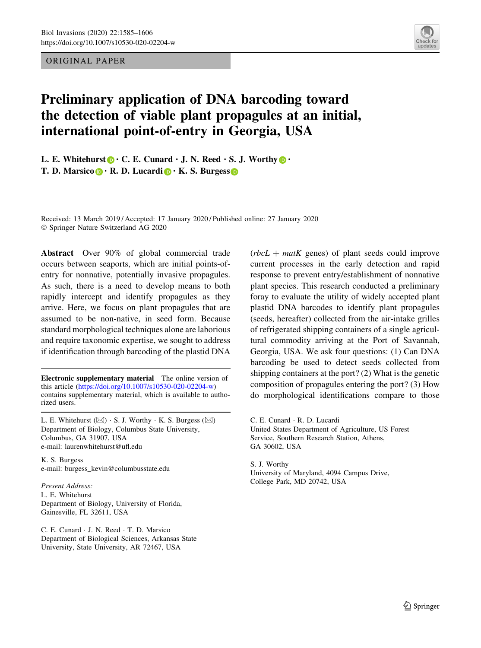## ORIGINAL PAPER



# Preliminary application of DNA barcoding toward the detection of viable plant propagules at an initial, international point-of-entry in Georgia, USA

L. E. Whitehurst  $\mathbf{D} \cdot \mathbf{C}$ . E. Cunard  $\cdot$  J. N. Reed  $\cdot$  S. J. Worthy  $\mathbf{D} \cdot \mathbf{C}$ T[.](http://orcid.org/0000-0002-3317-0028) D. Marsico  $\mathbf{D} \cdot \mathbf{R}$ . D. Lucardi  $\mathbf{D} \cdot \mathbf{K}$ . S. Burgess  $\mathbf{D}$ 

Received: 13 March 2019 / Accepted: 17 January 2020 / Published online: 27 January 2020 - Springer Nature Switzerland AG 2020

Abstract Over 90% of global commercial trade occurs between seaports, which are initial points-ofentry for nonnative, potentially invasive propagules. As such, there is a need to develop means to both rapidly intercept and identify propagules as they arrive. Here, we focus on plant propagules that are assumed to be non-native, in seed form. Because standard morphological techniques alone are laborious and require taxonomic expertise, we sought to address if identification through barcoding of the plastid DNA

Electronic supplementary material The online version of this article [\(https://doi.org/10.1007/s10530-020-02204-w](https://doi.org/10.1007/s10530-020-02204-w)) contains supplementary material, which is available to authorized users.

L. E. Whitehurst ( $\boxtimes$ )  $\cdot$  S. J. Worthy  $\cdot$  K. S. Burgess ( $\boxtimes$ ) Department of Biology, Columbus State University, Columbus, GA 31907, USA e-mail: laurenwhitehurst@ufl.edu

K. S. Burgess e-mail: burgess\_kevin@columbusstate.edu

Present Address: L. E. Whitehurst Department of Biology, University of Florida, Gainesville, FL 32611, USA

C. E. Cunard - J. N. Reed - T. D. Marsico Department of Biological Sciences, Arkansas State University, State University, AR 72467, USA

 $(rbcL + matK)$  genes) of plant seeds could improve current processes in the early detection and rapid response to prevent entry/establishment of nonnative plant species. This research conducted a preliminary foray to evaluate the utility of widely accepted plant plastid DNA barcodes to identify plant propagules (seeds, hereafter) collected from the air-intake grilles of refrigerated shipping containers of a single agricultural commodity arriving at the Port of Savannah, Georgia, USA. We ask four questions: (1) Can DNA barcoding be used to detect seeds collected from shipping containers at the port? (2) What is the genetic composition of propagules entering the port? (3) How do morphological identifications compare to those

C. E. Cunard - R. D. Lucardi United States Department of Agriculture, US Forest Service, Southern Research Station, Athens, GA 30602, USA

S. J. Worthy University of Maryland, 4094 Campus Drive, College Park, MD 20742, USA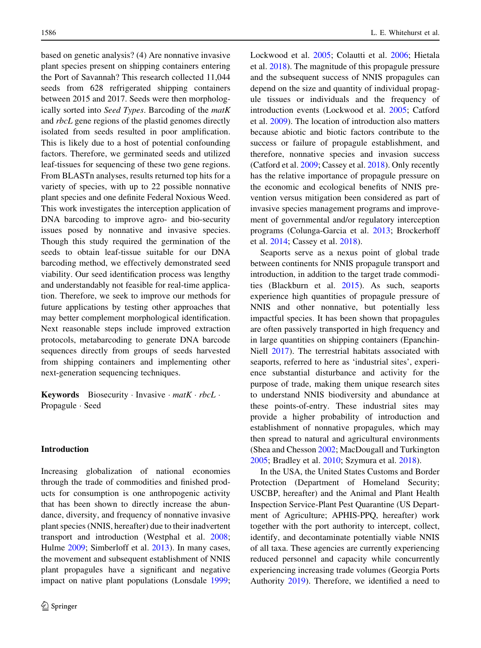based on genetic analysis? (4) Are nonnative invasive plant species present on shipping containers entering the Port of Savannah? This research collected 11,044 seeds from 628 refrigerated shipping containers between 2015 and 2017. Seeds were then morphologically sorted into Seed Types. Barcoding of the matK and rbcL gene regions of the plastid genomes directly isolated from seeds resulted in poor amplification. This is likely due to a host of potential confounding factors. Therefore, we germinated seeds and utilized leaf-tissues for sequencing of these two gene regions. From BLASTn analyses, results returned top hits for a variety of species, with up to 22 possible nonnative plant species and one definite Federal Noxious Weed. This work investigates the interception application of DNA barcoding to improve agro- and bio-security issues posed by nonnative and invasive species. Though this study required the germination of the seeds to obtain leaf-tissue suitable for our DNA barcoding method, we effectively demonstrated seed viability. Our seed identification process was lengthy and understandably not feasible for real-time application. Therefore, we seek to improve our methods for future applications by testing other approaches that may better complement morphological identification. Next reasonable steps include improved extraction protocols, metabarcoding to generate DNA barcode sequences directly from groups of seeds harvested from shipping containers and implementing other next-generation sequencing techniques.

**Keywords** Biosecurity Invasive  $\cdot$  matK  $\cdot$  rbcL  $\cdot$ Propagule - Seed

## Introduction

Increasing globalization of national economies through the trade of commodities and finished products for consumption is one anthropogenic activity that has been shown to directly increase the abundance, diversity, and frequency of nonnative invasive plant species (NNIS, hereafter) due to their inadvertent transport and introduction (Westphal et al. [2008](#page-21-0); Hulme [2009](#page-20-0); Simberloff et al. [2013\)](#page-21-0). In many cases, the movement and subsequent establishment of NNIS plant propagules have a significant and negative impact on native plant populations (Lonsdale [1999](#page-21-0); Lockwood et al. [2005](#page-21-0); Colautti et al. [2006;](#page-19-0) Hietala et al. [2018\)](#page-20-0). The magnitude of this propagule pressure and the subsequent success of NNIS propagules can depend on the size and quantity of individual propagule tissues or individuals and the frequency of introduction events (Lockwood et al. [2005;](#page-21-0) Catford et al. [2009](#page-19-0)). The location of introduction also matters because abiotic and biotic factors contribute to the success or failure of propagule establishment, and therefore, nonnative species and invasion success (Catford et al. [2009;](#page-19-0) Cassey et al. [2018](#page-19-0)). Only recently has the relative importance of propagule pressure on the economic and ecological benefits of NNIS prevention versus mitigation been considered as part of invasive species management programs and improvement of governmental and/or regulatory interception programs (Colunga-Garcia et al. [2013](#page-19-0); Brockerhoff et al. [2014](#page-19-0); Cassey et al. [2018\)](#page-19-0).

Seaports serve as a nexus point of global trade between continents for NNIS propagule transport and introduction, in addition to the target trade commodities (Blackburn et al. [2015\)](#page-19-0). As such, seaports experience high quantities of propagule pressure of NNIS and other nonnative, but potentially less impactful species. It has been shown that propagules are often passively transported in high frequency and in large quantities on shipping containers (Epanchin-Niell [2017](#page-20-0)). The terrestrial habitats associated with seaports, referred to here as 'industrial sites', experience substantial disturbance and activity for the purpose of trade, making them unique research sites to understand NNIS biodiversity and abundance at these points-of-entry. These industrial sites may provide a higher probability of introduction and establishment of nonnative propagules, which may then spread to natural and agricultural environments (Shea and Chesson [2002;](#page-21-0) MacDougall and Turkington [2005;](#page-21-0) Bradley et al. [2010;](#page-19-0) Szymura et al. [2018](#page-21-0)).

In the USA, the United States Customs and Border Protection (Department of Homeland Security; USCBP, hereafter) and the Animal and Plant Health Inspection Service-Plant Pest Quarantine (US Department of Agriculture; APHIS-PPQ, hereafter) work together with the port authority to intercept, collect, identify, and decontaminate potentially viable NNIS of all taxa. These agencies are currently experiencing reduced personnel and capacity while concurrently experiencing increasing trade volumes (Georgia Ports Authority [2019\)](#page-20-0). Therefore, we identified a need to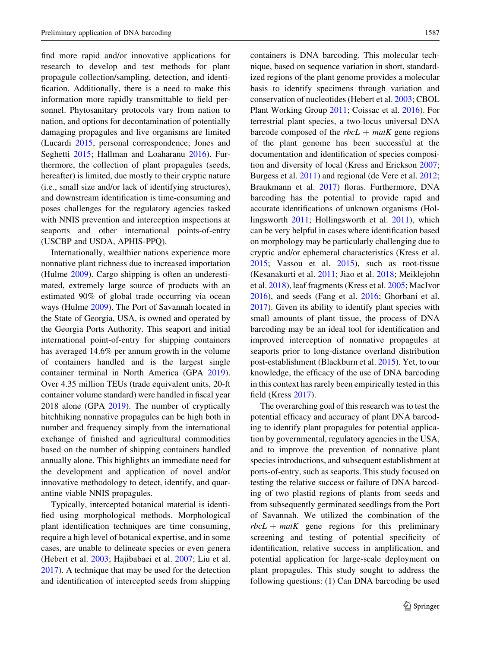find more rapid and/or innovative applications for research to develop and test methods for plant propagule collection/sampling, detection, and identification. Additionally, there is a need to make this information more rapidly transmittable to field personnel. Phytosanitary protocols vary from nation to nation, and options for decontamination of potentially damaging propagules and live organisms are limited (Lucardi [2015,](#page-21-0) personal correspondence; Jones and Seghetti [2015;](#page-20-0) Hallman and Loaharanu [2016](#page-20-0)). Furthermore, the collection of plant propagules (seeds, hereafter) is limited, due mostly to their cryptic nature (i.e., small size and/or lack of identifying structures), and downstream identification is time-consuming and poses challenges for the regulatory agencies tasked with NNIS prevention and interception inspections at seaports and other international points-of-entry (USCBP and USDA, APHIS-PPQ).

Internationally, wealthier nations experience more nonnative plant richness due to increased importation (Hulme [2009\)](#page-20-0). Cargo shipping is often an underestimated, extremely large source of products with an estimated 90% of global trade occurring via ocean ways (Hulme [2009](#page-20-0)). The Port of Savannah located in the State of Georgia, USA, is owned and operated by the Georgia Ports Authority. This seaport and initial international point-of-entry for shipping containers has averaged 14.6% per annum growth in the volume of containers handled and is the largest single container terminal in North America (GPA [2019](#page-20-0)). Over 4.35 million TEUs (trade equivalent units, 20-ft container volume standard) were handled in fiscal year 2018 alone (GPA [2019](#page-20-0)). The number of cryptically hitchhiking nonnative propagules can be high both in number and frequency simply from the international exchange of finished and agricultural commodities based on the number of shipping containers handled annually alone. This highlights an immediate need for the development and application of novel and/or innovative methodology to detect, identify, and quarantine viable NNIS propagules.

Typically, intercepted botanical material is identified using morphological methods. Morphological plant identification techniques are time consuming, require a high level of botanical expertise, and in some cases, are unable to delineate species or even genera (Hebert et al. [2003;](#page-20-0) Hajibabaei et al. [2007](#page-20-0); Liu et al. [2017\)](#page-20-0). A technique that may be used for the detection and identification of intercepted seeds from shipping containers is DNA barcoding. This molecular technique, based on sequence variation in short, standardized regions of the plant genome provides a molecular basis to identify specimens through variation and conservation of nucleotides (Hebert et al. [2003;](#page-20-0) CBOL Plant Working Group [2011](#page-19-0); Coissac et al. [2016\)](#page-19-0). For terrestrial plant species, a two-locus universal DNA barcode composed of the  $rbcL + matK$  gene regions of the plant genome has been successful at the documentation and identification of species composition and diversity of local (Kress and Erickson [2007](#page-20-0); Burgess et al. [2011](#page-19-0)) and regional (de Vere et al. [2012](#page-19-0); Braukmann et al. [2017](#page-19-0)) floras. Furthermore, DNA barcoding has the potential to provide rapid and accurate identifications of unknown organisms (Hollingsworth [2011;](#page-20-0) Hollingsworth et al. [2011\)](#page-20-0), which can be very helpful in cases where identification based on morphology may be particularly challenging due to cryptic and/or ephemeral characteristics (Kress et al. [2015;](#page-20-0) Vassou et al. [2015](#page-21-0)), such as root-tissue (Kesanakurti et al. [2011;](#page-20-0) Jiao et al. [2018;](#page-20-0) Meiklejohn et al. [2018\)](#page-21-0), leaf fragments (Kress et al. [2005](#page-20-0); MacIvor [2016\)](#page-21-0), and seeds (Fang et al. [2016;](#page-20-0) Ghorbani et al. [2017\)](#page-20-0). Given its ability to identify plant species with small amounts of plant tissue, the process of DNA barcoding may be an ideal tool for identification and improved interception of nonnative propagules at seaports prior to long-distance overland distribution post-establishment (Blackburn et al. [2015](#page-19-0)). Yet, to our knowledge, the efficacy of the use of DNA barcoding in this context has rarely been empirically tested in this field (Kress [2017](#page-20-0)).

The overarching goal of this research was to test the potential efficacy and accuracy of plant DNA barcoding to identify plant propagules for potential application by governmental, regulatory agencies in the USA, and to improve the prevention of nonnative plant species introductions, and subsequent establishment at ports-of-entry, such as seaports. This study focused on testing the relative success or failure of DNA barcoding of two plastid regions of plants from seeds and from subsequently germinated seedlings from the Port of Savannah. We utilized the combination of the  $rbcL + matK$  gene regions for this preliminary screening and testing of potential specificity of identification, relative success in amplification, and potential application for large-scale deployment on plant propagules. This study sought to address the following questions: (1) Can DNA barcoding be used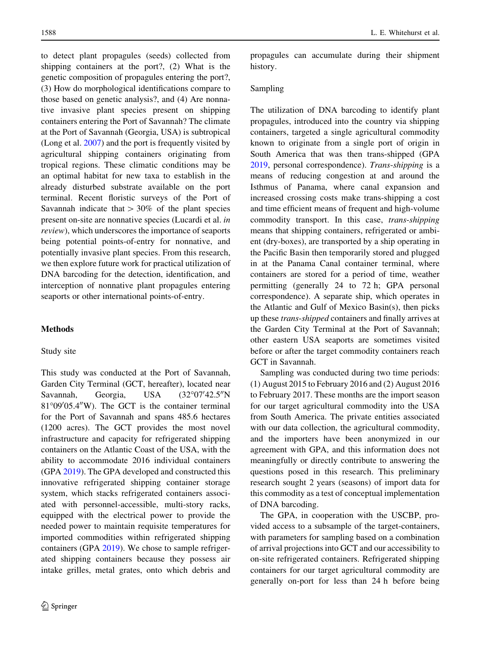to detect plant propagules (seeds) collected from shipping containers at the port?, (2) What is the genetic composition of propagules entering the port?, (3) How do morphological identifications compare to those based on genetic analysis?, and (4) Are nonnative invasive plant species present on shipping containers entering the Port of Savannah? The climate at the Port of Savannah (Georgia, USA) is subtropical (Long et al. [2007](#page-21-0)) and the port is frequently visited by agricultural shipping containers originating from tropical regions. These climatic conditions may be an optimal habitat for new taxa to establish in the already disturbed substrate available on the port terminal. Recent floristic surveys of the Port of Savannah indicate that  $> 30\%$  of the plant species present on-site are nonnative species (Lucardi et al. in review), which underscores the importance of seaports being potential points-of-entry for nonnative, and potentially invasive plant species. From this research, we then explore future work for practical utilization of DNA barcoding for the detection, identification, and interception of nonnative plant propagules entering seaports or other international points-of-entry.

# Methods

## Study site

This study was conducted at the Port of Savannah, Garden City Terminal (GCT, hereafter), located near Savannah, Georgia, USA  $(32^{\circ}07'42.5''N)$ 81°09'05.4"W). The GCT is the container terminal for the Port of Savannah and spans 485.6 hectares (1200 acres). The GCT provides the most novel infrastructure and capacity for refrigerated shipping containers on the Atlantic Coast of the USA, with the ability to accommodate 2016 individual containers (GPA [2019](#page-20-0)). The GPA developed and constructed this innovative refrigerated shipping container storage system, which stacks refrigerated containers associated with personnel-accessible, multi-story racks, equipped with the electrical power to provide the needed power to maintain requisite temperatures for imported commodities within refrigerated shipping containers (GPA [2019\)](#page-20-0). We chose to sample refrigerated shipping containers because they possess air intake grilles, metal grates, onto which debris and propagules can accumulate during their shipment history.

# Sampling

The utilization of DNA barcoding to identify plant propagules, introduced into the country via shipping containers, targeted a single agricultural commodity known to originate from a single port of origin in South America that was then trans-shipped (GPA [2019,](#page-20-0) personal correspondence). Trans-shipping is a means of reducing congestion at and around the Isthmus of Panama, where canal expansion and increased crossing costs make trans-shipping a cost and time efficient means of frequent and high-volume commodity transport. In this case, trans-shipping means that shipping containers, refrigerated or ambient (dry-boxes), are transported by a ship operating in the Pacific Basin then temporarily stored and plugged in at the Panama Canal container terminal, where containers are stored for a period of time, weather permitting (generally 24 to 72 h; GPA personal correspondence). A separate ship, which operates in the Atlantic and Gulf of Mexico Basin(s), then picks up these trans-shipped containers and finally arrives at the Garden City Terminal at the Port of Savannah; other eastern USA seaports are sometimes visited before or after the target commodity containers reach GCT in Savannah.

Sampling was conducted during two time periods: (1) August 2015 to February 2016 and (2) August 2016 to February 2017. These months are the import season for our target agricultural commodity into the USA from South America. The private entities associated with our data collection, the agricultural commodity, and the importers have been anonymized in our agreement with GPA, and this information does not meaningfully or directly contribute to answering the questions posed in this research. This preliminary research sought 2 years (seasons) of import data for this commodity as a test of conceptual implementation of DNA barcoding.

The GPA, in cooperation with the USCBP, provided access to a subsample of the target-containers, with parameters for sampling based on a combination of arrival projections into GCT and our accessibility to on-site refrigerated containers. Refrigerated shipping containers for our target agricultural commodity are generally on-port for less than 24 h before being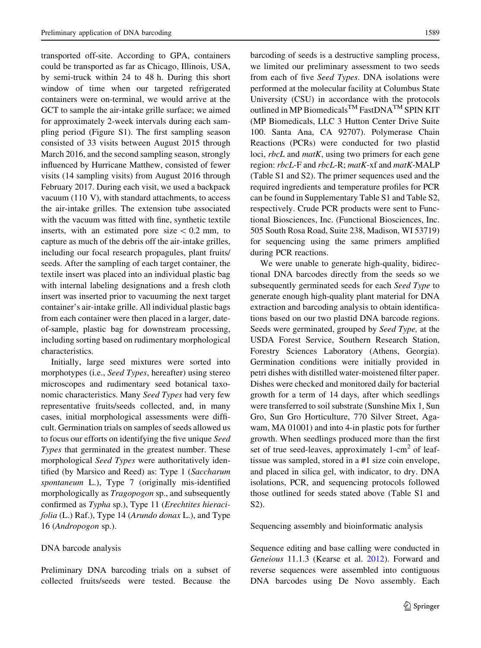transported off-site. According to GPA, containers could be transported as far as Chicago, Illinois, USA, by semi-truck within 24 to 48 h. During this short window of time when our targeted refrigerated containers were on-terminal, we would arrive at the GCT to sample the air-intake grille surface; we aimed for approximately 2-week intervals during each sampling period (Figure S1). The first sampling season consisted of 33 visits between August 2015 through March 2016, and the second sampling season, strongly influenced by Hurricane Matthew, consisted of fewer visits (14 sampling visits) from August 2016 through February 2017. During each visit, we used a backpack vacuum (110 V), with standard attachments, to access the air-intake grilles. The extension tube associated with the vacuum was fitted with fine, synthetic textile inserts, with an estimated pore size  $\lt$  0.2 mm, to capture as much of the debris off the air-intake grilles, including our focal research propagules, plant fruits/ seeds. After the sampling of each target container, the textile insert was placed into an individual plastic bag with internal labeling designations and a fresh cloth insert was inserted prior to vacuuming the next target container's air-intake grille. All individual plastic bags from each container were then placed in a larger, dateof-sample, plastic bag for downstream processing, including sorting based on rudimentary morphological characteristics.

Initially, large seed mixtures were sorted into morphotypes (i.e., Seed Types, hereafter) using stereo microscopes and rudimentary seed botanical taxonomic characteristics. Many Seed Types had very few representative fruits/seeds collected, and, in many cases, initial morphological assessments were difficult. Germination trials on samples of seeds allowed us to focus our efforts on identifying the five unique Seed Types that germinated in the greatest number. These morphological Seed Types were authoritatively identified (by Marsico and Reed) as: Type 1 (Saccharum spontaneum L.), Type 7 (originally mis-identified morphologically as *Tragopogon* sp., and subsequently confirmed as Typha sp.), Type 11 (Erechtites hieracifolia (L.) Raf.), Type 14 (Arundo donax L.), and Type 16 (Andropogon sp.).

#### DNA barcode analysis

Preliminary DNA barcoding trials on a subset of collected fruits/seeds were tested. Because the

barcoding of seeds is a destructive sampling process, we limited our preliminary assessment to two seeds from each of five Seed Types. DNA isolations were performed at the molecular facility at Columbus State University (CSU) in accordance with the protocols outlined in MP Biomedicals<sup>TM</sup> FastDNA<sup>TM</sup> SPIN KIT (MP Biomedicals, LLC 3 Hutton Center Drive Suite 100. Santa Ana, CA 92707). Polymerase Chain Reactions (PCRs) were conducted for two plastid loci, *rbcL* and *matK*, using two primers for each gene region: rbcL-F and rbcL-R; matK-xf and matK-MALP (Table S1 and S2). The primer sequences used and the required ingredients and temperature profiles for PCR can be found in Supplementary Table S1 and Table S2, respectively. Crude PCR products were sent to Functional Biosciences, Inc. (Functional Biosciences, Inc. 505 South Rosa Road, Suite 238, Madison, WI 53719) for sequencing using the same primers amplified during PCR reactions.

We were unable to generate high-quality, bidirectional DNA barcodes directly from the seeds so we subsequently germinated seeds for each Seed Type to generate enough high-quality plant material for DNA extraction and barcoding analysis to obtain identifications based on our two plastid DNA barcode regions. Seeds were germinated, grouped by Seed Type, at the USDA Forest Service, Southern Research Station, Forestry Sciences Laboratory (Athens, Georgia). Germination conditions were initially provided in petri dishes with distilled water-moistened filter paper. Dishes were checked and monitored daily for bacterial growth for a term of 14 days, after which seedlings were transferred to soil substrate (Sunshine Mix 1, Sun Gro, Sun Gro Horticulture, 770 Silver Street, Agawam, MA 01001) and into 4-in plastic pots for further growth. When seedlings produced more than the first set of true seed-leaves, approximately  $1$ -cm<sup>2</sup> of leaftissue was sampled, stored in a #1 size coin envelope, and placed in silica gel, with indicator, to dry. DNA isolations, PCR, and sequencing protocols followed those outlined for seeds stated above (Table S1 and S2).

#### Sequencing assembly and bioinformatic analysis

Sequence editing and base calling were conducted in Geneious 11.1.3 (Kearse et al. [2012](#page-20-0)). Forward and reverse sequences were assembled into contiguous DNA barcodes using De Novo assembly. Each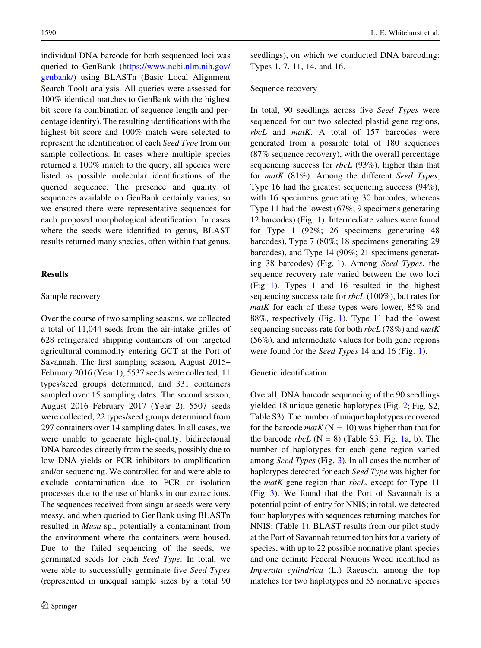individual DNA barcode for both sequenced loci was queried to GenBank [\(https://www.ncbi.nlm.nih.gov/](https://www.ncbi.nlm.nih.gov/genbank/) [genbank/](https://www.ncbi.nlm.nih.gov/genbank/)) using BLASTn (Basic Local Alignment Search Tool) analysis. All queries were assessed for 100% identical matches to GenBank with the highest bit score (a combination of sequence length and percentage identity). The resulting identifications with the highest bit score and 100% match were selected to represent the identification of each Seed Type from our sample collections. In cases where multiple species returned a 100% match to the query, all species were listed as possible molecular identifications of the queried sequence. The presence and quality of sequences available on GenBank certainly varies, so we ensured there were representative sequences for each proposed morphological identification. In cases where the seeds were identified to genus, BLAST results returned many species, often within that genus.

## Results

#### Sample recovery

Over the course of two sampling seasons, we collected a total of 11,044 seeds from the air-intake grilles of 628 refrigerated shipping containers of our targeted agricultural commodity entering GCT at the Port of Savannah. The first sampling season, August 2015– February 2016 (Year 1), 5537 seeds were collected, 11 types/seed groups determined, and 331 containers sampled over 15 sampling dates. The second season, August 2016–February 2017 (Year 2), 5507 seeds were collected, 22 types/seed groups determined from 297 containers over 14 sampling dates. In all cases, we were unable to generate high-quality, bidirectional DNA barcodes directly from the seeds, possibly due to low DNA yields or PCR inhibitors to amplification and/or sequencing. We controlled for and were able to exclude contamination due to PCR or isolation processes due to the use of blanks in our extractions. The sequences received from singular seeds were very messy, and when queried to GenBank using BLASTn resulted in Musa sp., potentially a contaminant from the environment where the containers were housed. Due to the failed sequencing of the seeds, we germinated seeds for each Seed Type. In total, we were able to successfully germinate five Seed Types (represented in unequal sample sizes by a total 90

seedlings), on which we conducted DNA barcoding: Types 1, 7, 11, 14, and 16.

#### Sequence recovery

In total, 90 seedlings across five Seed Types were sequenced for our two selected plastid gene regions, rbcL and matK. A total of 157 barcodes were generated from a possible total of 180 sequences (87% sequence recovery), with the overall percentage sequencing success for rbcL (93%), higher than that for matK (81%). Among the different Seed Types, Type 16 had the greatest sequencing success (94%), with 16 specimens generating 30 barcodes, whereas Type 11 had the lowest (67%; 9 specimens generating 12 barcodes) (Fig. [1\)](#page-6-0). Intermediate values were found for Type 1 (92%; 26 specimens generating 48 barcodes), Type 7 (80%; 18 specimens generating 29 barcodes), and Type 14 (90%; 21 specimens generating 38 barcodes) (Fig. [1](#page-6-0)). Among Seed Types, the sequence recovery rate varied between the two loci (Fig. [1](#page-6-0)). Types 1 and 16 resulted in the highest sequencing success rate for  $rbcL$  (100%), but rates for  $m \alpha t K$  for each of these types were lower, 85% and 88%, respectively (Fig. [1\)](#page-6-0). Type 11 had the lowest sequencing success rate for both  $rbcL$  (78%) and  $matK$ (56%), and intermediate values for both gene regions were found for the *Seed Types* 14 and 16 (Fig. [1\)](#page-6-0).

## Genetic identification

Overall, DNA barcode sequencing of the 90 seedlings yielded 18 unique genetic haplotypes (Fig. [2;](#page-7-0) Fig. S2, Table S3). The number of unique haplotypes recovered for the barcode *matK* ( $N = 10$ ) was higher than that for the barcode  $rbcL$  (N = 8) (Table S3; Fig. [1a](#page-6-0), b). The number of haplotypes for each gene region varied among Seed Types (Fig. [3](#page-8-0)). In all cases the number of haplotypes detected for each Seed Type was higher for the  $matK$  gene region than  $rbcL$ , except for Type 11 (Fig. [3](#page-8-0)). We found that the Port of Savannah is a potential point-of-entry for NNIS; in total, we detected four haplotypes with sequences returning matches for NNIS; (Table [1](#page-9-0)). BLAST results from our pilot study at the Port of Savannah returned top hits for a variety of species, with up to 22 possible nonnative plant species and one definite Federal Noxious Weed identified as Imperata cylindrica (L.) Raeusch. among the top matches for two haplotypes and 55 nonnative species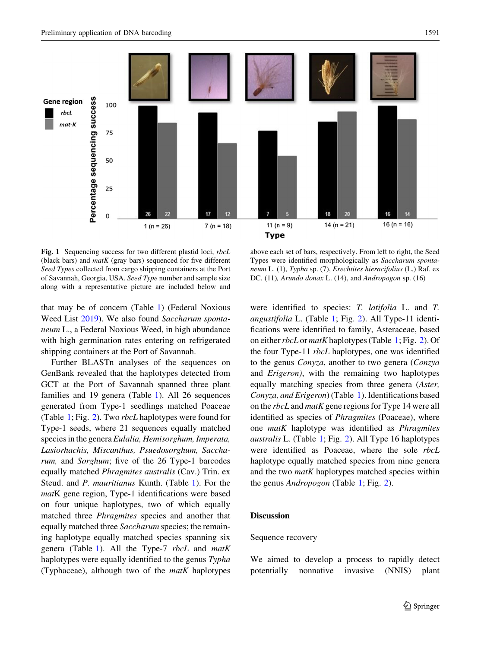<span id="page-6-0"></span>

Fig. 1 Sequencing success for two different plastid loci, rbcL (black bars) and  $matK$  (gray bars) sequenced for five different Seed Types collected from cargo shipping containers at the Port of Savannah, Georgia, USA. Seed Type number and sample size along with a representative picture are included below and

that may be of concern (Table [1\)](#page-9-0) (Federal Noxious Weed List [2019](#page-20-0)). We also found Saccharum spontaneum L., a Federal Noxious Weed, in high abundance with high germination rates entering on refrigerated shipping containers at the Port of Savannah.

Further BLASTn analyses of the sequences on GenBank revealed that the haplotypes detected from GCT at the Port of Savannah spanned three plant families and 19 genera (Table [1\)](#page-9-0). All 26 sequences generated from Type-1 seedlings matched Poaceae (Table [1](#page-9-0); Fig. [2](#page-7-0)). Two rbcL haplotypes were found for Type-1 seeds, where 21 sequences equally matched species in the genera Eulalia, Hemisorghum, Imperata, Lasiorhachis, Miscanthus, Psuedosorghum, Saccharum, and Sorghum; five of the 26 Type-1 barcodes equally matched Phragmites australis (Cav.) Trin. ex Steud. and P. mauritianus Kunth. (Table [1](#page-9-0)). For the matK gene region, Type-1 identifications were based on four unique haplotypes, two of which equally matched three Phragmites species and another that equally matched three Saccharum species; the remaining haplotype equally matched species spanning six genera (Table [1\)](#page-9-0). All the Type-7  $rbcL$  and  $matK$ haplotypes were equally identified to the genus Typha (Typhaceae), although two of the  $matK$  haplotypes

above each set of bars, respectively. From left to right, the Seed Types were identified morphologically as Saccharum spontaneum L. (1), Typha sp. (7), Erechtites hieracifolius (L.) Raf. ex DC. (11), Arundo donax L. (14), and Andropogon sp. (16)

were identified to species: *T. latifolia* L. and *T.* angustifolia L. (Table [1](#page-9-0); Fig. [2](#page-7-0)). All Type-11 identifications were identified to family, Asteraceae, based on either  $rbcL$  or matK haplotypes (Table [1;](#page-9-0) Fig. [2](#page-7-0)). Of the four Type-11 rbcL haplotypes, one was identified to the genus Conyza, another to two genera (Conzya and Erigeron), with the remaining two haplotypes equally matching species from three genera (Aster, Conyza, and Erigeron) (Table [1](#page-9-0)). Identifications based on the rbcL and matK gene regions for Type 14 were all identified as species of *Phragmites* (Poaceae), where one matK haplotype was identified as Phragmites australis L. (Table [1](#page-9-0); Fig. [2\)](#page-7-0). All Type 16 haplotypes were identified as Poaceae, where the sole rbcL haplotype equally matched species from nine genera and the two *matK* haplotypes matched species within the genus Andropogon (Table [1;](#page-9-0) Fig. [2](#page-7-0)).

#### **Discussion**

# Sequence recovery

We aimed to develop a process to rapidly detect potentially nonnative invasive (NNIS) plant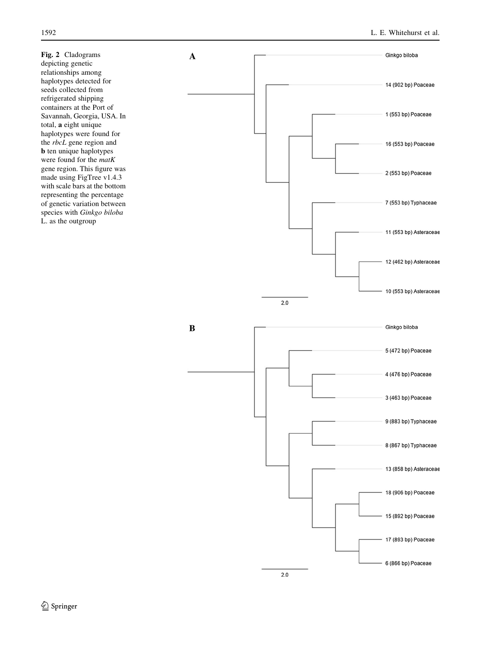<span id="page-7-0"></span>Fig. 2 Cladograms depicting genetic relationships among haplotypes detected for seeds collected from refrigerated shipping containers at the Port of Savannah, Georgia, USA. In total, a eight unique haplotypes were found for the rbcL gene region and b ten unique haplotypes were found for the matK gene region. This figure was made using FigTree v1.4.3 with scale bars at the bottom representing the percentage of genetic variation between species with Ginkgo biloba L. as the outgroup

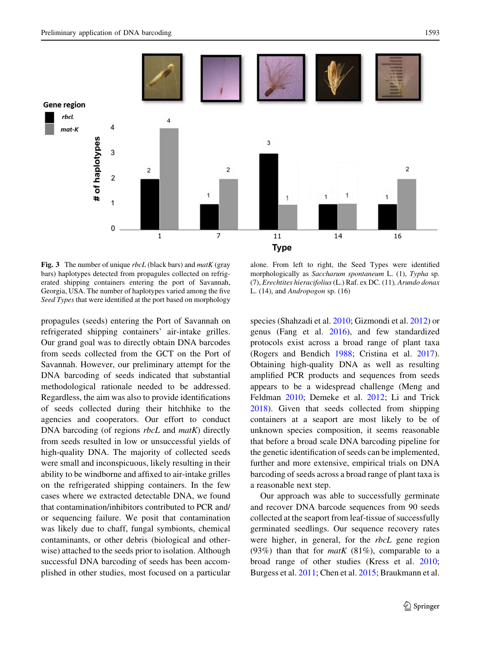<span id="page-8-0"></span>

Fig. 3 The number of unique *rbcL* (black bars) and *matK* (gray bars) haplotypes detected from propagules collected on refrigerated shipping containers entering the port of Savannah, Georgia, USA. The number of haplotypes varied among the five Seed Types that were identified at the port based on morphology

alone. From left to right, the Seed Types were identified morphologically as Saccharum spontaneum L. (1), Typha sp. (7), Erechtites hieracifolius (L.) Raf. ex DC. (11), Arundo donax L. (14), and Andropogon sp. (16)

propagules (seeds) entering the Port of Savannah on refrigerated shipping containers' air-intake grilles. Our grand goal was to directly obtain DNA barcodes from seeds collected from the GCT on the Port of Savannah. However, our preliminary attempt for the DNA barcoding of seeds indicated that substantial methodological rationale needed to be addressed. Regardless, the aim was also to provide identifications of seeds collected during their hitchhike to the agencies and cooperators. Our effort to conduct DNA barcoding (of regions  $rbcL$  and  $matK$ ) directly from seeds resulted in low or unsuccessful yields of high-quality DNA. The majority of collected seeds were small and inconspicuous, likely resulting in their ability to be windborne and affixed to air-intake grilles on the refrigerated shipping containers. In the few cases where we extracted detectable DNA, we found that contamination/inhibitors contributed to PCR and/ or sequencing failure. We posit that contamination was likely due to chaff, fungal symbionts, chemical contaminants, or other debris (biological and otherwise) attached to the seeds prior to isolation. Although successful DNA barcoding of seeds has been accomplished in other studies, most focused on a particular

species (Shahzadi et al. [2010;](#page-21-0) Gizmondi et al. [2012\)](#page-20-0) or genus (Fang et al. [2016\)](#page-20-0), and few standardized protocols exist across a broad range of plant taxa (Rogers and Bendich [1988;](#page-21-0) Cristina et al. [2017](#page-19-0)). Obtaining high-quality DNA as well as resulting amplified PCR products and sequences from seeds appears to be a widespread challenge (Meng and Feldman [2010;](#page-21-0) Demeke et al. [2012;](#page-20-0) Li and Trick [2018\)](#page-20-0). Given that seeds collected from shipping containers at a seaport are most likely to be of unknown species composition, it seems reasonable that before a broad scale DNA barcoding pipeline for the genetic identification of seeds can be implemented, further and more extensive, empirical trials on DNA barcoding of seeds across a broad range of plant taxa is a reasonable next step.

Our approach was able to successfully germinate and recover DNA barcode sequences from 90 seeds collected at the seaport from leaf-tissue of successfully germinated seedlings. Our sequence recovery rates were higher, in general, for the *rbcL* gene region (93%) than that for *matK* (81%), comparable to a broad range of other studies (Kress et al. [2010](#page-20-0); Burgess et al. [2011;](#page-19-0) Chen et al. [2015](#page-19-0); Braukmann et al.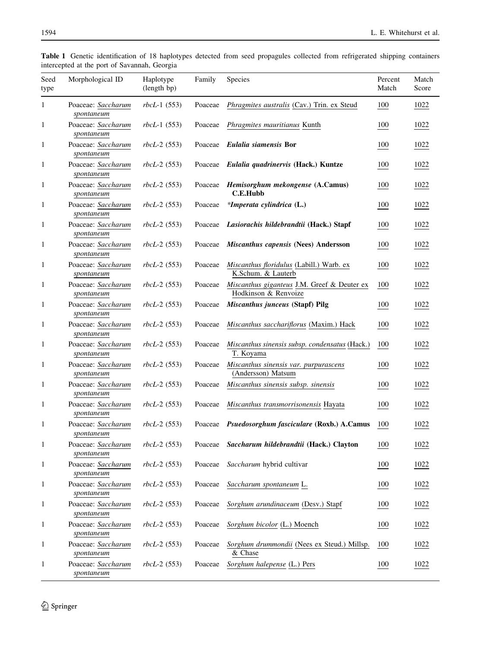| Seed<br>type | Morphological ID                 | Haplotype<br>(length bp) | Family  | <b>Species</b>                                                      | Percent<br>Match | Match<br>Score |
|--------------|----------------------------------|--------------------------|---------|---------------------------------------------------------------------|------------------|----------------|
| 1            | Poaceae: Saccharum<br>spontaneum | $rbcL-1(553)$            | Poaceae | Phragmites australis (Cav.) Trin. ex Steud                          | 100              | 1022           |
| 1            | Poaceae: Saccharum<br>spontaneum | $rbcL-1(553)$            | Poaceae | <i>Phragmites mauritianus Kunth</i>                                 | 100              | 1022           |
| 1            | Poaceae: Saccharum<br>spontaneum | $rbcL-2(553)$            | Poaceae | Eulalia siamensis Bor                                               | 100              | 1022           |
| 1            | Poaceae: Saccharum<br>spontaneum | $rbcL-2(553)$            | Poaceae | Eulalia quadrinervis (Hack.) Kuntze                                 | 100              | 1022           |
| 1            | Poaceae: Saccharum<br>spontaneum | $rbcL-2(553)$            | Poaceae | Hemisorghum mekongense (A.Camus)<br>C.E.Hubb                        | 100              | 1022           |
| 1            | Poaceae: Saccharum<br>spontaneum | $rbcL-2(553)$            | Poaceae | $*Imperata$ cylindrica $(L.)$                                       | 100              | 1022           |
| 1            | Poaceae: Saccharum<br>spontaneum | $rbcL-2(553)$            | Poaceae | Lasiorachis hildebrandtii (Hack.) Stapf                             | 100              | 1022           |
| 1            | Poaceae: Saccharum<br>spontaneum | $rbcL-2(553)$            | Poaceae | Miscanthus capensis (Nees) Andersson                                | 100              | 1022           |
| 1            | Poaceae: Saccharum<br>spontaneum | $rbcL-2(553)$            | Poaceae | Miscanthus floridulus (Labill.) Warb. ex<br>K.Schum. & Lauterb      | 100              | 1022           |
| 1            | Poaceae: Saccharum<br>spontaneum | $rbcL-2(553)$            | Poaceae | Miscanthus giganteus J.M. Greef & Deuter ex<br>Hodkinson & Renvoize | 100              | 1022           |
| 1            | Poaceae: Saccharum<br>spontaneum | $rbcL-2(553)$            | Poaceae | Miscanthus junceus (Stapf) Pilg                                     | 100              | 1022           |
| 1            | Poaceae: Saccharum<br>spontaneum | $rbcL-2(553)$            | Poaceae | Miscanthus sacchariflorus (Maxim.) Hack                             | 100              | 1022           |
| 1            | Poaceae: Saccharum<br>spontaneum | $rbcL-2(553)$            | Poaceae | Miscanthus sinensis subsp. condensatus (Hack.)<br>T. Koyama         | 100              | 1022           |
| 1            | Poaceae: Saccharum<br>spontaneum | $rbcL-2(553)$            | Poaceae | Miscanthus sinensis var. purpurascens<br>(Andersson) Matsum         | 100              | 1022           |
| 1            | Poaceae: Saccharum<br>spontaneum | $rbcL-2(553)$            | Poaceae | Miscanthus sinensis subsp. sinensis                                 | 100              | 1022           |
| 1            | Poaceae: Saccharum<br>spontaneum | $rbcL-2(553)$            | Poaceae | Miscanthus transmorrisonensis Hayata                                | 100              | 1022           |
| 1            | Poaceae: Saccharum<br>spontaneum | $rbcL-2(553)$            | Poaceae | Psuedosorghum fasciculare (Roxb.) A.Camus                           | 100              | 1022           |
| 1            | Poaceae: Saccharum<br>spontaneum | $rbcL-2(553)$            | Poaceae | Saccharum hildebrandtii (Hack.) Clayton                             | 100              | 1022           |
|              | Poaceae: Saccharum<br>spontaneum | $rbcL-2(553)$            |         | Poaceae Saccharum hybrid cultivar                                   | 100              | 1022           |
| 1            | Poaceae: Saccharum<br>spontaneum | $rbcL-2(553)$            | Poaceae | Saccharum spontaneum L.                                             | 100              | 1022           |
| 1            | Poaceae: Saccharum<br>spontaneum | $rbcL-2(553)$            | Poaceae | Sorghum arundinaceum (Desv.) Stapf                                  | 100              | 1022           |
| $\mathbf{1}$ | Poaceae: Saccharum<br>spontaneum | $rbcL-2(553)$            | Poaceae | Sorghum bicolor (L.) Moench                                         | 100              | 1022           |
| 1            | Poaceae: Saccharum<br>spontaneum | $rbcL-2(553)$            | Poaceae | Sorghum drummondii (Nees ex Steud.) Millsp.<br>& Chase              | 100              | 1022           |
| 1            | Poaceae: Saccharum<br>spontaneum | $rbcL-2(553)$            | Poaceae | Sorghum halepense (L.) Pers                                         | 100              | 1022           |

<span id="page-9-0"></span>Table 1 Genetic identification of 18 haplotypes detected from seed propagules collected from refrigerated shipping containers intercepted at the port of Savannah, Georgia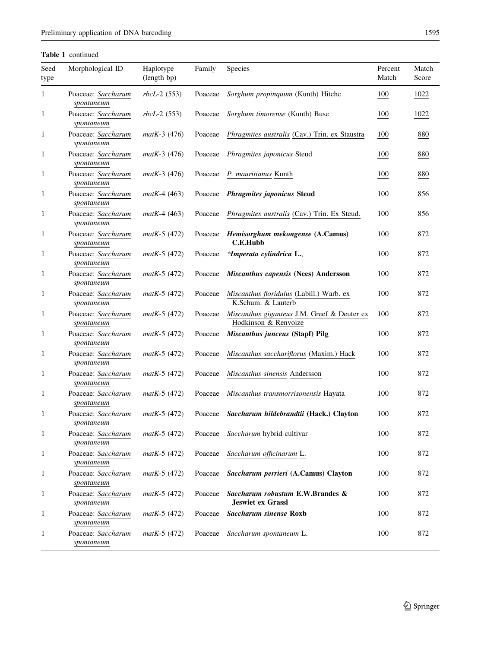Table 1 continued

| Seed<br>type | Morphological ID                 | Haplotype<br>(length bp) | Family  | Species                                                             | Percent<br>Match | Match<br>Score |
|--------------|----------------------------------|--------------------------|---------|---------------------------------------------------------------------|------------------|----------------|
| 1            | Poaceae: Saccharum<br>spontaneum | $rbcL-2(553)$            | Poaceae | Sorghum propinguum (Kunth) Hitchc                                   | 100              | 1022           |
| $\mathbf{1}$ | Poaceae: Saccharum<br>spontaneum | $rbcL-2(553)$            | Poaceae | Sorghum timorense (Kunth) Buse                                      | 100              | 1022           |
| $\mathbf{1}$ | Poaceae: Saccharum<br>spontaneum | $matK-3$ (476)           | Poaceae | Phragmites australis (Cav.) Trin. ex Staustra                       | 100              | 880            |
| 1            | Poaceae: Saccharum<br>spontaneum | $matK-3$ (476)           | Poaceae | Phragmites japonicus Steud                                          | 100              | 880            |
| $\mathbf{1}$ | Poaceae: Saccharum<br>spontaneum | matK-3 (476)             | Poaceae | P. mauritianus Kunth                                                | 100              | 880            |
| 1            | Poaceae: Saccharum<br>spontaneum | $matK-4$ (463)           | Poaceae | Phragmites japonicus Steud                                          | 100              | 856            |
| $\mathbf{1}$ | Poaceae: Saccharum<br>spontaneum | $matK-4$ (463)           | Poaceae | Phragmites australis (Cav.) Trin. Ex Steud.                         | 100              | 856            |
| $\mathbf{1}$ | Poaceae: Saccharum<br>spontaneum | $matK-5$ (472)           | Poaceae | Hemisorghum mekongense (A.Camus)<br>C.E.Hubb                        | 100              | 872            |
| $\mathbf{1}$ | Poaceae: Saccharum<br>spontaneum | $matK-5$ (472)           | Poaceae | *Imperata cylindrica L.,                                            | 100              | 872            |
| 1            | Poaceae: Saccharum<br>spontaneum | $matK-5$ (472)           | Poaceae | Miscanthus capensis (Nees) Andersson                                | 100              | 872            |
| 1            | Poaceae: Saccharum<br>spontaneum | $matK-5$ (472)           | Poaceae | Miscanthus floridulus (Labill.) Warb. ex<br>K.Schum. & Lauterb      | 100              | 872            |
| 1            | Poaceae: Saccharum<br>spontaneum | $matK-5$ (472)           | Poaceae | Miscanthus giganteus J.M. Greef & Deuter ex<br>Hodkinson & Renvoize | 100              | 872            |
| 1            | Poaceae: Saccharum<br>spontaneum | $matK-5$ (472)           | Poaceae | Miscanthus junceus (Stapf) Pilg                                     | 100              | 872            |
| $\mathbf{1}$ | Poaceae: Saccharum<br>spontaneum | $matK-5$ (472)           | Poaceae | Miscanthus sacchariflorus (Maxim.) Hack                             | 100              | 872            |
| $\mathbf{1}$ | Poaceae: Saccharum<br>spontaneum | $matK-5$ (472)           | Poaceae | Miscanthus sinensis Andersson                                       | 100              | 872            |
| $\mathbf{1}$ | Poaceae: Saccharum<br>spontaneum | $matK-5$ (472)           | Poaceae | Miscanthus transmorrisonensis Hayata                                | 100              | 872            |
| $\mathbf{1}$ | Poaceae: Saccharum<br>spontaneum | $matK-5$ (472)           | Poaceae | Saccharum hildebrandtii (Hack.) Clayton                             | 100              | 872            |
| 1            | Poaceae: Saccharum<br>spontaneum | $matK-5$ (472)           | Poaceae | Saccharum hybrid cultivar                                           | 100              | 872            |
| 1            | Poaceae: Saccharum<br>spontaneum | $matK-5$ (472)           |         | Poaceae Saccharum officinarum L.                                    | 100              | 872            |
| 1            | Poaceae: Saccharum<br>spontaneum | $matK-5$ (472)           | Poaceae | Saccharum perrieri (A.Camus) Clayton                                | 100              | 872            |
| $\mathbf{1}$ | Poaceae: Saccharum<br>spontaneum | $matK-5$ (472)           | Poaceae | Saccharum robustum E.W.Brandes &<br><b>Jeswiet ex Grassl</b>        | 100              | 872            |
| 1            | Poaceae: Saccharum<br>spontaneum | $matK-5$ (472)           | Poaceae | Saccharum sinense Roxb                                              | 100              | 872            |
| 1            | Poaceae: Saccharum<br>spontaneum | $matK-5$ (472)           | Poaceae | Saccharum spontaneum L.                                             | 100              | 872            |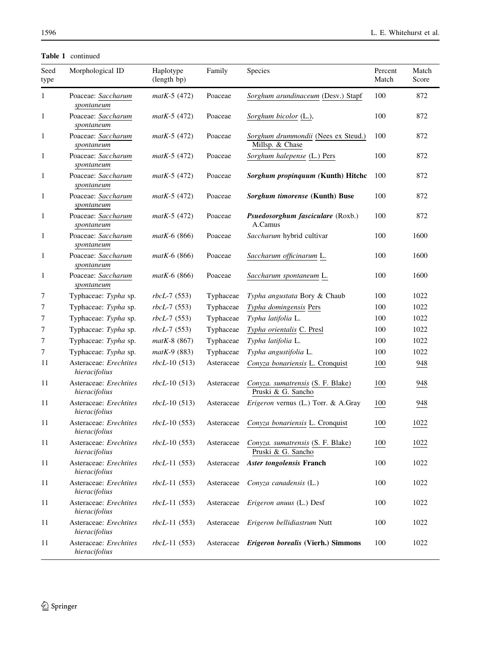Table 1 continued

| Seed<br>type | Morphological ID                        | Haplotype<br>(length bp) | Family     | Species                                                 | Percent<br>Match | Match<br>Score |
|--------------|-----------------------------------------|--------------------------|------------|---------------------------------------------------------|------------------|----------------|
| 1            | Poaceae: Saccharum<br>spontaneum        | $matK-5$ (472)           | Poaceae    | Sorghum arundinaceum (Desv.) Stapf                      | 100              | 872            |
| 1            | Poaceae: Saccharum<br>spontaneum        | $matK-5$ (472)           | Poaceae    | Sorghum bicolor (L.),                                   | 100              | 872            |
| 1            | Poaceae: Saccharum<br>spontaneum        | $matK-5$ (472)           | Poaceae    | Sorghum drummondii (Nees ex Steud.)<br>Millsp. & Chase  | 100              | 872            |
| 1            | Poaceae: Saccharum<br>spontaneum        | $matK-5$ (472)           | Poaceae    | Sorghum halepense (L.) Pers                             | 100              | 872            |
| 1            | Poaceae: Saccharum<br>spontaneum        | $matK-5$ (472)           | Poaceae    | Sorghum propinquum (Kunth) Hitchc                       | 100              | 872            |
| 1            | Poaceae: Saccharum<br>spontaneum        | $matK-5$ (472)           | Poaceae    | Sorghum timorense (Kunth) Buse                          | 100              | 872            |
| 1            | Poaceae: Saccharum<br>spontaneum        | $matK-5$ (472)           | Poaceae    | <b>Psuedosorghum fasciculare</b> (Roxb.)<br>A.Camus     | 100              | 872            |
| 1            | Poaceae: Saccharum<br>spontaneum        | $\textit{matK-6}$ (866)  | Poaceae    | Saccharum hybrid cultivar                               | 100              | 1600           |
| 1            | Poaceae: Saccharum<br>spontaneum        | $matK-6$ (866)           | Poaceae    | Saccharum officinarum L.                                | 100              | 1600           |
| 1            | Poaceae: Saccharum<br>spontaneum        | $\textit{matK-6}$ (866)  | Poaceae    | Saccharum spontaneum L.                                 | 100              | 1600           |
| 7            | Typhaceae: Typha sp.                    | $rbcL-7(553)$            | Typhaceae  | Typha angustata Bory & Chaub                            | 100              | 1022           |
| 7            | Typhaceae: Typha sp.                    | $rbcL-7(553)$            | Typhaceae  | Typha domingensis Pers                                  | 100              | 1022           |
| 7            | Typhaceae: Typha sp.                    | $rbcL-7(553)$            | Typhaceae  | Typha latifolia L.                                      | 100              | 1022           |
| 7            | Typhaceae: Typha sp.                    | $rbcL-7(553)$            | Typhaceae  | Typha orientalis C. Presl                               | 100              | 1022           |
| 7            | Typhaceae: Typha sp.                    | $matK-8$ (867)           | Typhaceae  | Typha latifolia L.                                      | 100              | 1022           |
| 7            | Typhaceae: Typha sp.                    | $matK-9$ (883)           | Typhaceae  | Typha angustifolia L.                                   | 100              | 1022           |
| 11           | Asteraceae: Erechtites<br>hieracifolius | $rbcL-10(513)$           | Asteraceae | Conyza bonariensis L. Cronquist                         | 100              | 948            |
| 11           | Asteraceae: Erechtites<br>hieracifolius | $rbcL-10(513)$           | Asteraceae | Conyza. sumatrensis (S. F. Blake)<br>Pruski & G. Sancho | 100              | 948            |
| 11           | Asteraceae: Erechtites<br>hieracifolius | $rbcL-10(513)$           | Asteraceae | <i>Erigeron</i> vernus (L.) Torr. & A.Gray              | 100              | 948            |
| 11           | Asteraceae: Erechtites<br>hieracifolius | $rbcL-10(553)$           | Asteraceae | Conyza bonariensis L. Cronquist                         | 100              | 1022           |
| 11           | Asteraceae: Erechtites<br>hieracifolius | $rbcL-10(553)$           | Asteraceae | Conyza. sumatrensis (S. F. Blake)<br>Pruski & G. Sancho | 100              | 1022           |
| 11           | Asteraceae: Erechtites<br>hieracifolius | $rbcL-11(553)$           | Asteraceae | Aster tongolensis Franch                                | 100              | 1022           |
| 11           | Asteraceae: Erechtites<br>hieracifolius | $rbcL-11(553)$           | Asteraceae | Conyza canadensis (L.)                                  | 100              | 1022           |
| 11           | Asteraceae: Erechtites<br>hieracifolius | $rbcL-11(553)$           | Asteraceae | Erigeron anuus (L.) Desf                                | 100              | 1022           |
| 11           | Asteraceae: Erechtites<br>hieracifolius | $rbcL-11(553)$           | Asteraceae | Erigeron bellidiastrum Nutt                             | 100              | 1022           |
| 11           | Asteraceae: Erechtites<br>hieracifolius | $rbcL-11(553)$           | Asteraceae | Erigeron borealis (Vierh.) Simmons                      | 100              | 1022           |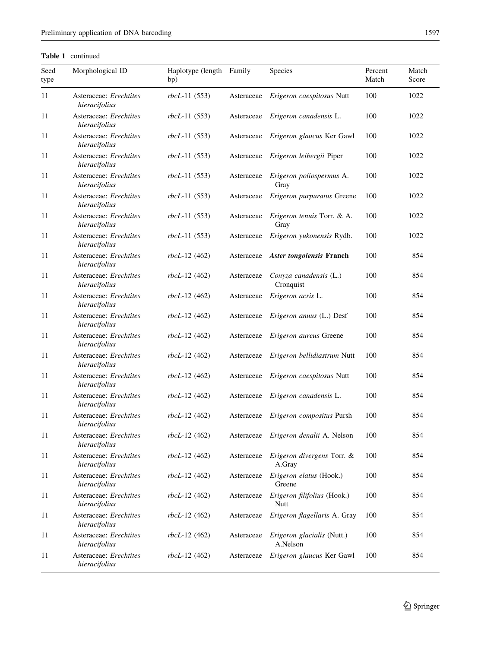Table 1 continued

| Seed<br>type | Morphological ID                        | Haplotype (length Family<br>bp) |            | Species                                | Percent<br>Match | Match<br>Score |
|--------------|-----------------------------------------|---------------------------------|------------|----------------------------------------|------------------|----------------|
| 11           | Asteraceae: Erechtites<br>hieracifolius | $rbcL-11(553)$                  | Asteraceae | Erigeron caespitosus Nutt              | 100              | 1022           |
| 11           | Asteraceae: Erechtites<br>hieracifolius | $rbcL-11(553)$                  | Asteraceae | Erigeron canadensis L.                 | 100              | 1022           |
| 11           | Asteraceae: Erechtites<br>hieracifolius | $rbcL-11(553)$                  | Asteraceae | Erigeron glaucus Ker Gawl              | 100              | 1022           |
| 11           | Asteraceae: Erechtites<br>hieracifolius | $rbcL-11(553)$                  | Asteraceae | Erigeron leibergii Piper               | 100              | 1022           |
| 11           | Asteraceae: Erechtites<br>hieracifolius | $rbcL-11(553)$                  | Asteraceae | Erigeron poliospermus A.<br>Gray       | 100              | 1022           |
| 11           | Asteraceae: Erechtites<br>hieracifolius | $rbcL-11(553)$                  | Asteraceae | Erigeron purpuratus Greene             | 100              | 1022           |
| 11           | Asteraceae: Erechtites<br>hieracifolius | $rbcL-11(553)$                  | Asteraceae | Erigeron tenuis Torr. & A.<br>Gray     | 100              | 1022           |
| 11           | Asteraceae: Erechtites<br>hieracifolius | $rbcL-11(553)$                  | Asteraceae | Erigeron yukonensis Rydb.              | 100              | 1022           |
| 11           | Asteraceae: Erechtites<br>hieracifolius | $rbcL-12(462)$                  | Asteraceae | <b>Aster tongolensis Franch</b>        | 100              | 854            |
| 11           | Asteraceae: Erechtites<br>hieracifolius | $rbcL-12(462)$                  | Asteraceae | Conyza canadensis (L.)<br>Cronquist    | 100              | 854            |
| 11           | Asteraceae: Erechtites<br>hieracifolius | $rbcL-12(462)$                  | Asteraceae | Erigeron acris L.                      | 100              | 854            |
| 11           | Asteraceae: Erechtites<br>hieracifolius | $rbcL-12(462)$                  | Asteraceae | Erigeron anuus (L.) Desf               | 100              | 854            |
| 11           | Asteraceae: Erechtites<br>hieracifolius | $rbcL-12(462)$                  | Asteraceae | Erigeron aureus Greene                 | 100              | 854            |
| 11           | Asteraceae: Erechtites<br>hieracifolius | $rbcL-12(462)$                  | Asteraceae | Erigeron bellidiastrum Nutt            | 100              | 854            |
| 11           | Asteraceae: Erechtites<br>hieracifolius | $rbcL-12(462)$                  | Asteraceae | Erigeron caespitosus Nutt              | 100              | 854            |
| 11           | Asteraceae: Erechtites<br>hieracifolius | $rbcL-12(462)$                  | Asteraceae | Erigeron canadensis L.                 | 100              | 854            |
| 11           | Asteraceae: Erechtites<br>hieracifolius | $rbcL-12(462)$                  | Asteraceae | Erigeron compositus Pursh              | 100              | 854            |
| 11           | Asteraceae: Erechtites<br>hieracifolius | $rbcL-12(462)$                  | Asteraceae | Erigeron denalii A. Nelson             | 100              | 854            |
| 11           | Asteraceae: Erechtites<br>hieracifolius | $rbcL-12(462)$                  | Asteraceae | Erigeron divergens Torr. &<br>A.Gray   | 100              | 854            |
| 11           | Asteraceae: Erechtites<br>hieracifolius | $rbcL-12(462)$                  | Asteraceae | Erigeron elatus (Hook.)<br>Greene      | 100              | 854            |
| 11           | Asteraceae: Erechtites<br>hieracifolius | $rbcL-12(462)$                  | Asteraceae | Erigeron filifolius (Hook.)<br>Nutt    | 100              | 854            |
| 11           | Asteraceae: Erechtites<br>hieracifolius | $rbcL-12(462)$                  | Asteraceae | Erigeron flagellaris A. Gray           | 100              | 854            |
| 11           | Asteraceae: Erechtites<br>hieracifolius | $rbcL-12(462)$                  | Asteraceae | Erigeron glacialis (Nutt.)<br>A.Nelson | 100              | 854            |
| 11           | Asteraceae: Erechtites<br>hieracifolius | $rbcL-12(462)$                  | Asteraceae | Erigeron glaucus Ker Gawl              | 100              | 854            |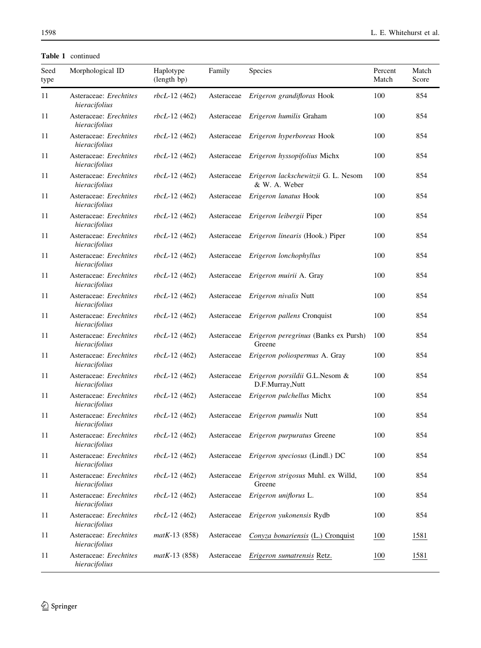Table 1 continued

| Seed<br>type | Morphological ID                        | Haplotype<br>(length bp) | Family     | Species                                              | Percent<br>Match | Match<br>Score |
|--------------|-----------------------------------------|--------------------------|------------|------------------------------------------------------|------------------|----------------|
| 11           | Asteraceae: Erechtites<br>hieracifolius | $rbcL-12(462)$           | Asteraceae | Erigeron grandifloras Hook                           | 100              | 854            |
| 11           | Asteraceae: Erechtites<br>hieracifolius | $rbcL-12(462)$           | Asteraceae | Erigeron humilis Graham                              | 100              | 854            |
| 11           | Asteraceae: Erechtites<br>hieracifolius | $rbcL-12(462)$           | Asteraceae | Erigeron hyperboreus Hook                            | 100              | 854            |
| 11           | Asteraceae: Erechtites<br>hieracifolius | $rbcL-12(462)$           | Asteraceae | Erigeron hyssopifolius Michx                         | 100              | 854            |
| 11           | Asteraceae: Erechtites<br>hieracifolius | $rbcL-12(462)$           | Asteraceae | Erigeron lackschewitzii G. L. Nesom<br>& W. A. Weber | 100              | 854            |
| 11           | Asteraceae: Erechtites<br>hieracifolius | $rbcL-12(462)$           | Asteraceae | Erigeron lanatus Hook                                | 100              | 854            |
| 11           | Asteraceae: Erechtites<br>hieracifolius | $rbcL-12(462)$           | Asteraceae | Erigeron leibergii Piper                             | 100              | 854            |
| 11           | Asteraceae: Erechtites<br>hieracifolius | $rbcL-12(462)$           | Asteraceae | Erigeron linearis (Hook.) Piper                      | 100              | 854            |
| 11           | Asteraceae: Erechtites<br>hieracifolius | $rbcL-12(462)$           | Asteraceae | Erigeron lonchophyllus                               | 100              | 854            |
| 11           | Asteraceae: Erechtites<br>hieracifolius | $rbcL-12(462)$           | Asteraceae | Erigeron muirii A. Gray                              | 100              | 854            |
| 11           | Asteraceae: Erechtites<br>hieracifolius | $rbcL-12(462)$           | Asteraceae | Erigeron nivalis Nutt                                | 100              | 854            |
| 11           | Asteraceae: Erechtites<br>hieracifolius | $rbcL-12(462)$           | Asteraceae | Erigeron pallens Cronquist                           | 100              | 854            |
| 11           | Asteraceae: Erechtites<br>hieracifolius | $rbcL-12(462)$           | Asteraceae | Erigeron peregrinus (Banks ex Pursh)<br>Greene       | 100              | 854            |
| 11           | Asteraceae: Erechtites<br>hieracifolius | $rbcL-12(462)$           | Asteraceae | Erigeron poliospermus A. Gray                        | 100              | 854            |
| 11           | Asteraceae: Erechtites<br>hieracifolius | $rbcL-12(462)$           | Asteraceae | Erigeron porsildii G.L.Nesom &<br>D.F.Murray, Nutt   | 100              | 854            |
| 11           | Asteraceae: Erechtites<br>hieracifolius | $rbcL-12(462)$           | Asteraceae | Erigeron pulchellus Michx                            | 100              | 854            |
| 11           | Asteraceae: Erechtites<br>hieracifolius | $rbcL-12(462)$           | Asteraceae | Erigeron pumulis Nutt                                | 100              | 854            |
| 11           | Asteraceae: Erechtites<br>hieracifolius | $rbcL-12(462)$           | Asteraceae | Erigeron purpuratus Greene                           | 100              | 854            |
| 11           | Asteraceae: Erechtites<br>hieracifolius | $rbcL-12(462)$           |            | Asteraceae Erigeron speciosus (Lindl.) DC            | 100              | 854            |
| 11           | Asteraceae: Erechtites<br>hieracifolius | $rbcL-12(462)$           | Asteraceae | Erigeron strigosus Muhl. ex Willd,<br>Greene         | 100              | 854            |
| 11           | Asteraceae: Erechtites<br>hieracifolius | $rbcL-12(462)$           | Asteraceae | Erigeron uniflorus L.                                | 100              | 854            |
| 11           | Asteraceae: Erechtites<br>hieracifolius | $rbcL-12(462)$           | Asteraceae | Erigeron yukonensis Rydb                             | 100              | 854            |
| 11           | Asteraceae: Erechtites<br>hieracifolius | $matK-13(858)$           | Asteraceae | Conyza bonariensis (L.) Cronquist                    | 100              | 1581           |
| 11           | Asteraceae: Erechtites<br>hieracifolius | $matK-13$ (858)          | Asteraceae | Erigeron sumatrensis Retz.                           | 100              | 1581           |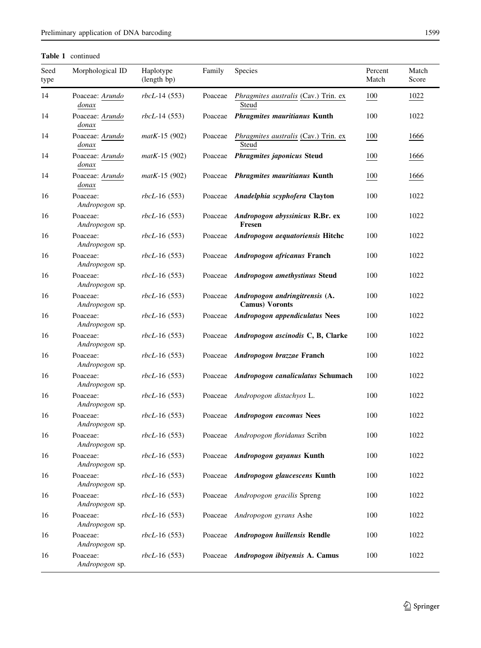## Table 1 continued

| Seed<br>type | Morphological ID                  | Haplotype<br>(length bp) | Family  | <b>Species</b>                                           | Percent<br>Match | Match<br>Score |
|--------------|-----------------------------------|--------------------------|---------|----------------------------------------------------------|------------------|----------------|
| 14           | Poaceae: Arundo<br>donax          | $rbcL-14(553)$           | Poaceae | Phragmites australis (Cav.) Trin. ex<br>Steud            | 100              | 1022           |
| 14           | Poaceae: Arundo<br>donax          | $rbcL-14(553)$           | Poaceae | Phragmites mauritianus Kunth                             | 100              | 1022           |
| 14           | Poaceae: Arundo<br>donax          | $matK-15(902)$           | Poaceae | Phragmites australis (Cav.) Trin. ex<br>Steud            | 100              | 1666           |
| 14           | Poaceae: Arundo<br>donax          | $matK-15(902)$           | Poaceae | <b>Phragmites japonicus Steud</b>                        | 100              | 1666           |
| 14           | Poaceae: Arundo<br>donax          | $matK-15(902)$           | Poaceae | <b>Phragmites mauritianus Kunth</b>                      | 100              | 1666           |
| 16           | Poaceae:<br>Andropogon sp.        | $rbcL-16(553)$           | Poaceae | Anadelphia scyphofera Clayton                            | 100              | 1022           |
| 16           | Poaceae:<br>Andropogon sp.        | $rbcL-16(553)$           | Poaceae | Andropogon abyssinicus R.Br. ex<br>Fresen                | 100              | 1022           |
| 16           | Poaceae:<br>Andropogon sp.        | $rbcL-16(553)$           | Poaceae | Andropogon aequatoriensis Hitchc                         | 100              | 1022           |
| 16           | Poaceae:<br>Andropogon sp.        | $rbcL-16(553)$           | Poaceae | Andropogon africanus Franch                              | 100              | 1022           |
| 16           | Poaceae:<br>Andropogon sp.        | $rbcL-16(553)$           | Poaceae | Andropogon amethystinus Steud                            | 100              | 1022           |
| 16           | Poaceae:<br>Andropogon sp.        | $rbcL-16(553)$           | Poaceae | Andropogon andringitrensis (A.<br><b>Camus</b> ) Voronts | 100              | 1022           |
| 16           | Poaceae:<br>Andropogon sp.        | $rbcL-16(553)$           | Poaceae | Andropogon appendiculatus Nees                           | 100              | 1022           |
| 16           | Poaceae:<br>Andropogon sp.        | $rbcL-16(553)$           | Poaceae | Andropogon ascinodis C, B, Clarke                        | 100              | 1022           |
| 16           | Poaceae:<br>Andropogon sp.        | $rbcL-16(553)$           | Poaceae | Andropogon brazzae Franch                                | 100              | 1022           |
| 16           | Poaceae:<br>Andropogon sp.        | $rbcL-16(553)$           | Poaceae | Andropogon canaliculatus Schumach                        | 100              | 1022           |
| 16           | Poaceae:<br>Andropogon sp.        | $rbcL-16(553)$           | Poaceae | Andropogon distachyos L.                                 | 100              | 1022           |
| 16           | Poaceae:<br>Andropogon sp.        | $rbcL-16(553)$           | Poaceae | <b>Andropogon eucomus Nees</b>                           | 100              | 1022           |
| 16           | Poaceae:<br>Andropogon sp.        | $rbcL-16(553)$           | Poaceae | Andropogon floridanus Scribn                             | 100              | 1022           |
| 16           | Poaceae:<br><i>Andropogon</i> sp. | $rbcL-16(553)$           |         | Poaceae Andropogon gayanus Kunth                         | 100              | 1022           |
| 16           | Poaceae:<br>Andropogon sp.        | $rbcL-16(553)$           |         | Poaceae Andropogon glaucescens Kunth                     | 100              | 1022           |
| 16           | Poaceae:<br><i>Andropogon</i> sp. | $rbcL-16(553)$           | Poaceae | Andropogon gracilis Spreng                               | 100              | 1022           |
| 16           | Poaceae:<br><i>Andropogon</i> sp. | $rbcL-16(553)$           | Poaceae | Andropogon gyrans Ashe                                   | 100              | 1022           |
| 16           | Poaceae:<br>Andropogon sp.        | $rbcL-16(553)$           | Poaceae | Andropogon huillensis Rendle                             | 100              | 1022           |
| 16           | Poaceae:<br>Andropogon sp.        | $rbcL-16(553)$           |         | Poaceae Andropogon ibityensis A. Camus                   | 100              | 1022           |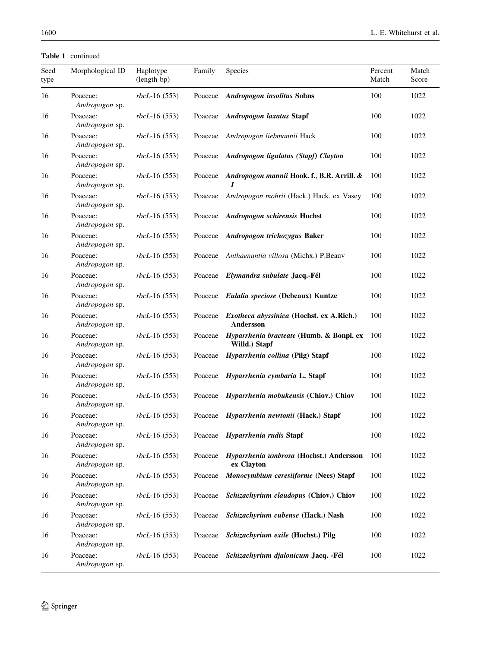Table 1 continued

| Seed<br>type | Morphological ID           | Haplotype<br>(length bp) | Family  | Species                                                       | Percent<br>Match | Match<br>Score |
|--------------|----------------------------|--------------------------|---------|---------------------------------------------------------------|------------------|----------------|
| 16           | Poaceae:<br>Andropogon sp. | $rbcL-16(553)$           | Poaceae | Andropogon insolitus Sohns                                    | 100              | 1022           |
| 16           | Poaceae:<br>Andropogon sp. | $rbcL-16(553)$           | Poaceae | Andropogon laxatus Stapf                                      | 100              | 1022           |
| 16           | Poaceae:<br>Andropogon sp. | $rbcL-16(553)$           | Poaceae | Andropogon liebmannii Hack                                    | 100              | 1022           |
| 16           | Poaceae:<br>Andropogon sp. | $rbcL-16(553)$           | Poaceae | Andropogon ligulatus (Stapf) Clayton                          | 100              | 1022           |
| 16           | Poaceae:<br>Andropogon sp. | $rbcL-16(553)$           | Poaceae | Andropogon mannii Hook. f., B.R. Arrill. &                    | 100              | 1022           |
| 16           | Poaceae:<br>Andropogon sp. | $rbcL-16(553)$           | Poaceae | Andropogon mohrii (Hack.) Hack. ex Vasey                      | 100              | 1022           |
| 16           | Poaceae:<br>Andropogon sp. | $rbcL-16(553)$           | Poaceae | Andropogon schirensis Hochst                                  | 100              | 1022           |
| 16           | Poaceae:<br>Andropogon sp. | $rbcL-16(553)$           | Poaceae | Andropogon trichozygus Baker                                  | 100              | 1022           |
| 16           | Poaceae:<br>Andropogon sp. | $rbcL-16(553)$           | Poaceae | Anthaenantia villosa (Michx.) P.Beauv                         | 100              | 1022           |
| 16           | Poaceae:<br>Andropogon sp. | $rbcL-16(553)$           | Poaceae | Elymandra subulate Jacq.-Fél                                  | 100              | 1022           |
| 16           | Poaceae:<br>Andropogon sp. | $rbcL-16(553)$           | Poaceae | Eulalia speciose (Debeaux) Kuntze                             | 100              | 1022           |
| 16           | Poaceae:<br>Andropogon sp. | $rbcL-16(553)$           | Poaceae | Exotheca abyssinica (Hochst. ex A.Rich.)<br><b>Andersson</b>  | 100              | 1022           |
| 16           | Poaceae:<br>Andropogon sp. | $rbcL-16(553)$           | Poaceae | Hyparrhenia bracteate (Humb. & Bonpl. ex<br>Willd.) Stapf     | 100              | 1022           |
| 16           | Poaceae:<br>Andropogon sp. | $rbcL-16(553)$           | Poaceae | Hyparrhenia collina (Pilg) Stapf                              | 100              | 1022           |
| 16           | Poaceae:<br>Andropogon sp. | $rbcL-16(553)$           | Poaceae | Hyparrhenia cymbaria L. Stapf                                 | 100              | 1022           |
| 16           | Poaceae:<br>Andropogon sp. | $rbcL-16(553)$           | Poaceae | Hyparrhenia mobukensis (Chiov.) Chiov                         | 100              | 1022           |
| 16           | Poaceae:<br>Andropogon sp. | $rbcL-16(553)$           | Poaceae | Hyparrhenia newtonii (Hack.) Stapf                            | 100              | 1022           |
| 16           | Poaceae:<br>Andropogon sp. | $rbcL-16(553)$           | Poaceae | Hyparrhenia rudis Stapf                                       | 100              | 1022           |
| 16           | Poaceae:<br>Andropogon sp. | $rbcL-16(553)$           |         | Poaceae Hyparrhenia umbrosa (Hochst.) Andersson<br>ex Clayton | 100              | 1022           |
| 16           | Poaceae:<br>Andropogon sp. | $rbcL-16(553)$           | Poaceae | Monocymbium ceresiiforme (Nees) Stapf                         | 100              | 1022           |
| 16           | Poaceae:<br>Andropogon sp. | $rbcL-16(553)$           | Poaceae | Schizachyrium claudopus (Chiov.) Chiov                        | 100              | 1022           |
| 16           | Poaceae:<br>Andropogon sp. | $rbcL-16(553)$           | Poaceae | Schizachyrium cubense (Hack.) Nash                            | 100              | 1022           |
| 16           | Poaceae:<br>Andropogon sp. | $rbcL-16(553)$           | Poaceae | Schizachyrium exile (Hochst.) Pilg                            | 100              | 1022           |
| 16           | Poaceae:<br>Andropogon sp. | $rbcL-16(553)$           | Poaceae | Schizachyrium djalonicum Jacq. - Fél                          | 100              | 1022           |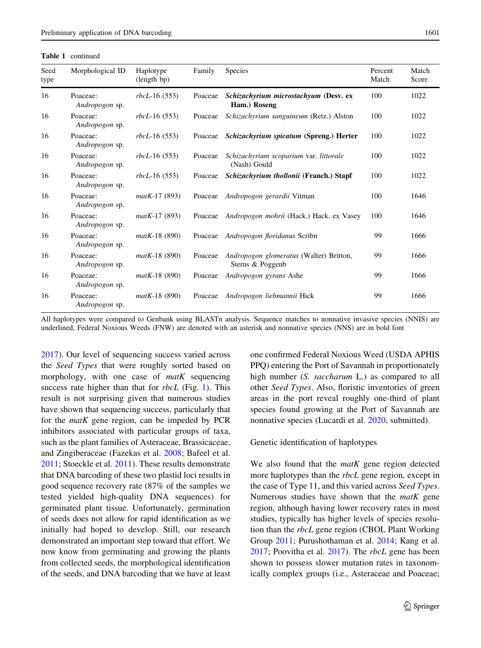Table 1 continued

| Seed<br>type | Morphological ID           | Haplotype<br>(length bp) | Family  | <b>Species</b>                                              | Percent<br>Match | Match<br>Score |
|--------------|----------------------------|--------------------------|---------|-------------------------------------------------------------|------------------|----------------|
| 16           | Poaceae:<br>Andropogon sp. | $rbcL-16(553)$           | Poaceae | Schizachyrium microstachyum (Desv. ex<br>Ham.) Roseng       | 100              | 1022           |
| 16           | Poaceae:<br>Andropogon sp. | $rbcL-16(553)$           | Poaceae | Schizachyrium sanguineum (Retz.) Alston                     | 100              | 1022           |
| 16           | Poaceae:<br>Andropogon sp. | $rbcL-16(553)$           | Poaceae | Schizachyrium spicatum (Spreng.) Herter                     | 100              | 1022           |
| 16           | Poaceae:<br>Andropogon sp. | $rbcL-16(553)$           | Poaceae | Schizachyrium scoparium var. littorale<br>(Nash) Gould      | 100              | 1022           |
| 16           | Poaceae:<br>Andropogon sp. | $rbcL-16(553)$           | Poaceae | Schizachyrium thollonii (Franch.) Stapf                     | 100              | 1022           |
| 16           | Poaceae:<br>Andropogon sp. | $matK-17(893)$           | Poaceae | Andropogon gerardii Vitman                                  | 100              | 1646           |
| 16           | Poaceae:<br>Andropogon sp. | $matK-17(893)$           | Poaceae | Andropogon mohrii (Hack.) Hack. ex Vasey                    | 100              | 1646           |
| 16           | Poaceae:<br>Andropogon sp. | $matK-18$ (890)          | Poaceae | Andropogon floridanus Scribn                                | 99               | 1666           |
| 16           | Poaceae:<br>Andropogon sp. | $matK-18$ (890)          | Poaceae | Andropogon glomeratus (Walter) Britton,<br>Sterns & Poggenb | 99               | 1666           |
| 16           | Poaceae:<br>Andropogon sp. | $matK-18$ (890)          | Poaceae | Andropogon gyrans Ashe                                      | 99               | 1666           |
| 16           | Poaceae:<br>Andropogon sp. | $matK-18$ (890)          | Poaceae | Andropogon liebmannii Hick                                  | 99               | 1666           |

All haplotypes were compared to Genbank using BLASTn analysis. Sequence matches to nonnative invasive species (NNIS) are underlined, Federal Noxious Weeds (FNW) are denoted with an asterisk and nonnative species (NNS) are in bold font

[2017\)](#page-19-0). Our level of sequencing success varied across the Seed Types that were roughly sorted based on morphology, with one case of  $text$  Sequencing success rate higher than that for  $rbcL$  (Fig. [1\)](#page-6-0). This result is not surprising given that numerous studies have shown that sequencing success, particularly that for the *matK* gene region, can be impeded by PCR inhibitors associated with particular groups of taxa, such as the plant families of Asteraceae, Brassicaceae, and Zingiberaceae (Fazekas et al. [2008;](#page-20-0) Bafeel et al. [2011;](#page-19-0) Stoeckle et al. [2011](#page-21-0)). These results demonstrate that DNA barcoding of these two plastid loci results in good sequence recovery rate (87% of the samples we tested yielded high-quality DNA sequences) for germinated plant tissue. Unfortunately, germination of seeds does not allow for rapid identification as we initially had hoped to develop. Still, our research demonstrated an important step toward that effort. We now know from germinating and growing the plants from collected seeds, the morphological identification of the seeds, and DNA barcoding that we have at least one confirmed Federal Noxious Weed (USDA APHIS PPQ) entering the Port of Savannah in proportionately high number (S. saccharum L.) as compared to all other Seed Types. Also, floristic inventories of green areas in the port reveal roughly one-third of plant species found growing at the Port of Savannah are nonnative species (Lucardi et al. [2020,](#page-21-0) submitted).

#### Genetic identification of haplotypes

We also found that the  $m \alpha t K$  gene region detected more haplotypes than the *rbcL* gene region, except in the case of Type 11, and this varied across Seed Types. Numerous studies have shown that the  $m \alpha t K$  gene region, although having lower recovery rates in most studies, typically has higher levels of species resolution than the rbcL gene region (CBOL Plant Working Group [2011;](#page-19-0) Purushothaman et al. [2014;](#page-21-0) Kang et al. [2017;](#page-20-0) Poovitha et al. [2017\)](#page-21-0). The rbcL gene has been shown to possess slower mutation rates in taxonomically complex groups (i.e., Asteraceae and Poaceae;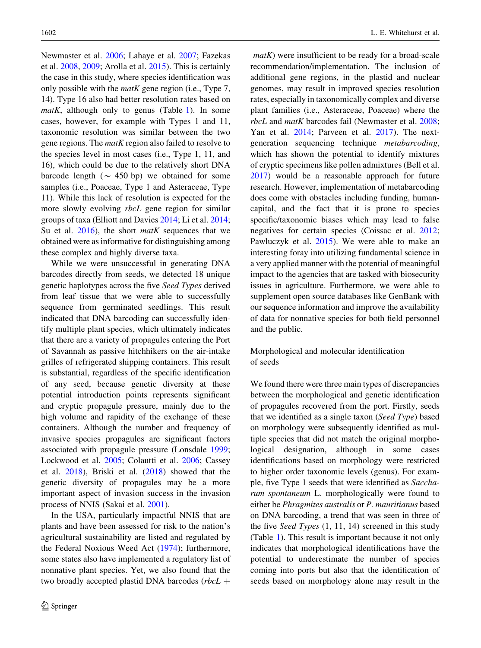Newmaster et al. [2006](#page-21-0); Lahaye et al. [2007;](#page-20-0) Fazekas et al. [2008,](#page-20-0) [2009;](#page-20-0) Arolla et al. [2015](#page-19-0)). This is certainly the case in this study, where species identification was only possible with the matK gene region (i.e., Type 7, 14). Type 16 also had better resolution rates based on *matK*, although only to genus (Table [1](#page-9-0)). In some cases, however, for example with Types 1 and 11, taxonomic resolution was similar between the two gene regions. The  $\textit{matK}$  region also failed to resolve to the species level in most cases (i.e., Type 1, 11, and 16), which could be due to the relatively short DNA barcode length ( $\sim$  450 bp) we obtained for some samples (i.e., Poaceae, Type 1 and Asteraceae, Type 11). While this lack of resolution is expected for the more slowly evolving *rbcL* gene region for similar groups of taxa (Elliott and Davies [2014](#page-20-0); Li et al. [2014](#page-20-0); Su et al.  $2016$ ), the short *matK* sequences that we obtained were as informative for distinguishing among these complex and highly diverse taxa.

While we were unsuccessful in generating DNA barcodes directly from seeds, we detected 18 unique genetic haplotypes across the five Seed Types derived from leaf tissue that we were able to successfully sequence from germinated seedlings. This result indicated that DNA barcoding can successfully identify multiple plant species, which ultimately indicates that there are a variety of propagules entering the Port of Savannah as passive hitchhikers on the air-intake grilles of refrigerated shipping containers. This result is substantial, regardless of the specific identification of any seed, because genetic diversity at these potential introduction points represents significant and cryptic propagule pressure, mainly due to the high volume and rapidity of the exchange of these containers. Although the number and frequency of invasive species propagules are significant factors associated with propagule pressure (Lonsdale [1999](#page-21-0); Lockwood et al. [2005;](#page-21-0) Colautti et al. [2006](#page-19-0); Cassey et al. [2018](#page-19-0)), Briski et al. ([2018](#page-19-0)) showed that the genetic diversity of propagules may be a more important aspect of invasion success in the invasion process of NNIS (Sakai et al. [2001\)](#page-21-0).

In the USA, particularly impactful NNIS that are plants and have been assessed for risk to the nation's agricultural sustainability are listed and regulated by the Federal Noxious Weed Act [\(1974](#page-20-0)); furthermore, some states also have implemented a regulatory list of nonnative plant species. Yet, we also found that the two broadly accepted plastid DNA barcodes ( $rbcL +$ 

 $m \alpha t K$ ) were insufficient to be ready for a broad-scale recommendation/implementation. The inclusion of additional gene regions, in the plastid and nuclear genomes, may result in improved species resolution rates, especially in taxonomically complex and diverse plant families (i.e., Asteraceae, Poaceae) where the rbcL and matK barcodes fail (Newmaster et al. [2008](#page-21-0); Yan et al. [2014](#page-21-0); Parveen et al. [2017\)](#page-21-0). The nextgeneration sequencing technique metabarcoding, which has shown the potential to identify mixtures of cryptic specimens like pollen admixtures (Bell et al. [2017\)](#page-19-0) would be a reasonable approach for future research. However, implementation of metabarcoding does come with obstacles including funding, humancapital, and the fact that it is prone to species specific/taxonomic biases which may lead to false negatives for certain species (Coissac et al. [2012](#page-19-0); Pawluczyk et al. [2015\)](#page-21-0). We were able to make an interesting foray into utilizing fundamental science in a very applied manner with the potential of meaningful impact to the agencies that are tasked with biosecurity issues in agriculture. Furthermore, we were able to supplement open source databases like GenBank with our sequence information and improve the availability of data for nonnative species for both field personnel and the public.

# Morphological and molecular identification of seeds

We found there were three main types of discrepancies between the morphological and genetic identification of propagules recovered from the port. Firstly, seeds that we identified as a single taxon (Seed Type) based on morphology were subsequently identified as multiple species that did not match the original morphological designation, although in some cases identifications based on morphology were restricted to higher order taxonomic levels (genus). For example, five Type 1 seeds that were identified as Saccharum spontaneum L. morphologically were found to either be Phragmites australis or P. mauritianus based on DNA barcoding, a trend that was seen in three of the five Seed Types (1, 11, 14) screened in this study (Table [1](#page-9-0)). This result is important because it not only indicates that morphological identifications have the potential to underestimate the number of species coming into ports but also that the identification of seeds based on morphology alone may result in the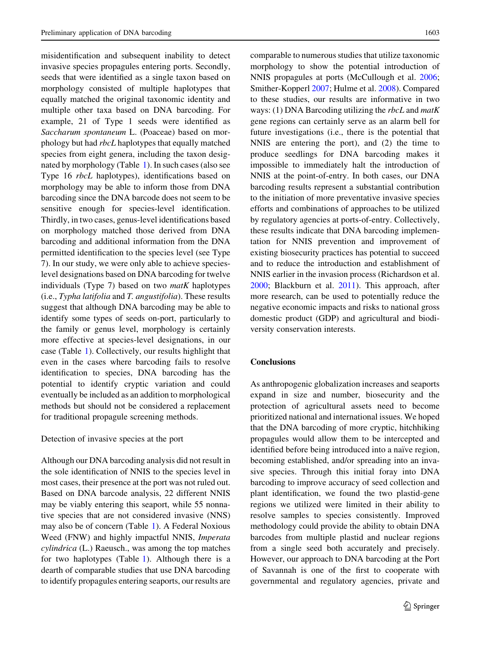misidentification and subsequent inability to detect invasive species propagules entering ports. Secondly, seeds that were identified as a single taxon based on morphology consisted of multiple haplotypes that equally matched the original taxonomic identity and multiple other taxa based on DNA barcoding. For example, 21 of Type 1 seeds were identified as Saccharum spontaneum L. (Poaceae) based on morphology but had rbcL haplotypes that equally matched species from eight genera, including the taxon designated by morphology (Table [1](#page-9-0)). In such cases (also see Type 16 rbcL haplotypes), identifications based on morphology may be able to inform those from DNA barcoding since the DNA barcode does not seem to be sensitive enough for species-level identification. Thirdly, in two cases, genus-level identifications based on morphology matched those derived from DNA barcoding and additional information from the DNA permitted identification to the species level (see Type 7). In our study, we were only able to achieve specieslevel designations based on DNA barcoding for twelve individuals (Type 7) based on two  $\textit{matK}$  haplotypes (i.e., Typha latifolia and T. angustifolia). These results suggest that although DNA barcoding may be able to identify some types of seeds on-port, particularly to the family or genus level, morphology is certainly more effective at species-level designations, in our case (Table [1](#page-9-0)). Collectively, our results highlight that even in the cases where barcoding fails to resolve identification to species, DNA barcoding has the potential to identify cryptic variation and could eventually be included as an addition to morphological methods but should not be considered a replacement for traditional propagule screening methods.

## Detection of invasive species at the port

Although our DNA barcoding analysis did not result in the sole identification of NNIS to the species level in most cases, their presence at the port was not ruled out. Based on DNA barcode analysis, 22 different NNIS may be viably entering this seaport, while 55 nonnative species that are not considered invasive (NNS) may also be of concern (Table [1](#page-9-0)). A Federal Noxious Weed (FNW) and highly impactful NNIS, Imperata cylindrica (L.) Raeusch., was among the top matches for two haplotypes (Table [1\)](#page-9-0). Although there is a dearth of comparable studies that use DNA barcoding to identify propagules entering seaports, our results are comparable to numerous studies that utilize taxonomic morphology to show the potential introduction of NNIS propagules at ports (McCullough et al. [2006](#page-21-0); Smither-Kopperl [2007;](#page-21-0) Hulme et al. [2008\)](#page-20-0). Compared to these studies, our results are informative in two ways: (1) DNA Barcoding utilizing the rbcL and matK gene regions can certainly serve as an alarm bell for future investigations (i.e., there is the potential that NNIS are entering the port), and (2) the time to produce seedlings for DNA barcoding makes it impossible to immediately halt the introduction of NNIS at the point-of-entry. In both cases, our DNA barcoding results represent a substantial contribution to the initiation of more preventative invasive species efforts and combinations of approaches to be utilized by regulatory agencies at ports-of-entry. Collectively, these results indicate that DNA barcoding implementation for NNIS prevention and improvement of existing biosecurity practices has potential to succeed and to reduce the introduction and establishment of NNIS earlier in the invasion process (Richardson et al. [2000;](#page-21-0) Blackburn et al. [2011](#page-19-0)). This approach, after more research, can be used to potentially reduce the negative economic impacts and risks to national gross domestic product (GDP) and agricultural and biodiversity conservation interests.

# **Conclusions**

As anthropogenic globalization increases and seaports expand in size and number, biosecurity and the protection of agricultural assets need to become prioritized national and international issues. We hoped that the DNA barcoding of more cryptic, hitchhiking propagules would allow them to be intercepted and identified before being introduced into a naïve region, becoming established, and/or spreading into an invasive species. Through this initial foray into DNA barcoding to improve accuracy of seed collection and plant identification, we found the two plastid-gene regions we utilized were limited in their ability to resolve samples to species consistently. Improved methodology could provide the ability to obtain DNA barcodes from multiple plastid and nuclear regions from a single seed both accurately and precisely. However, our approach to DNA barcoding at the Port of Savannah is one of the first to cooperate with governmental and regulatory agencies, private and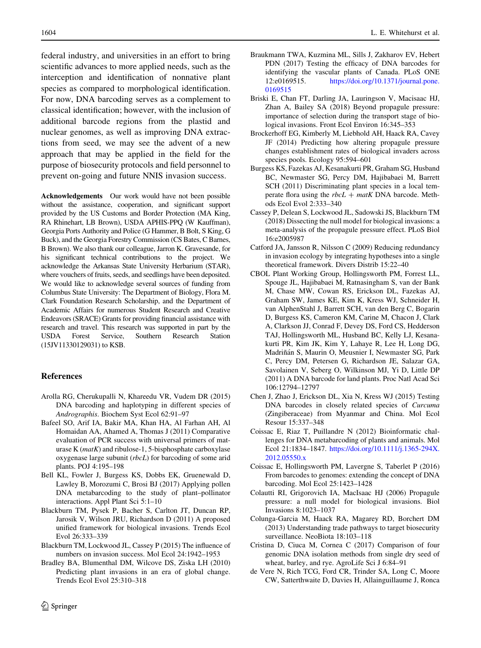<span id="page-19-0"></span>federal industry, and universities in an effort to bring scientific advances to more applied needs, such as the interception and identification of nonnative plant species as compared to morphological identification. For now, DNA barcoding serves as a complement to classical identification; however, with the inclusion of additional barcode regions from the plastid and nuclear genomes, as well as improving DNA extractions from seed, we may see the advent of a new approach that may be applied in the field for the purpose of biosecurity protocols and field personnel to prevent on-going and future NNIS invasion success.

Acknowledgements Our work would have not been possible without the assistance, cooperation, and significant support provided by the US Customs and Border Protection (MA King, RA Rhinehart, LB Brown), USDA APHIS-PPQ (W Kauffman), Georgia Ports Authority and Police (G Hammer, B Bolt, S King, G Buck), and the Georgia Forestry Commission (CS Bates, C Barnes, B Brown). We also thank our colleague, Jarron K. Gravesande, for his significant technical contributions to the project. We acknowledge the Arkansas State University Herbarium (STAR), where vouchers of fruits, seeds, and seedlings have been deposited. We would like to acknowledge several sources of funding from Columbus State University: The Department of Biology, Flora M. Clark Foundation Research Scholarship, and the Department of Academic Affairs for numerous Student Research and Creative Endeavors (SRACE) Grants for providing financial assistance with research and travel. This research was supported in part by the USDA Forest Service, Southern Research Station (15JV11330129031) to KSB.

#### References

- Arolla RG, Cherukupalli N, Khareedu VR, Vudem DR (2015) DNA barcoding and haplotyping in different species of Andrographis. Biochem Syst Ecol 62:91–97
- Bafeel SO, Arif IA, Bakir MA, Khan HA, Al Farhan AH, Al Homaidan AA, Ahamed A, Thomas J (2011) Comparative evaluation of PCR success with universal primers of maturase K (matK) and ribulose-1, 5-bisphosphate carboxylase oxygenase large subunit (rbcL) for barcoding of some arid plants. POJ 4:195–198
- Bell KL, Fowler J, Burgess KS, Dobbs EK, Gruenewald D, Lawley B, Morozumi C, Brosi BJ (2017) Applying pollen DNA metabarcoding to the study of plant–pollinator interactions. Appl Plant Sci 5:1–10
- Blackburn TM, Pysek P, Bacher S, Carlton JT, Duncan RP, Jarosik V, Wilson JRU, Richardson D (2011) A proposed unified framework for biological invasions. Trends Ecol Evol 26:333–339
- Blackburn TM, Lockwood JL, Cassey P (2015) The influence of numbers on invasion success. Mol Ecol 24:1942–1953
- Bradley BA, Blumenthal DM, Wilcove DS, Ziska LH (2010) Predicting plant invasions in an era of global change. Trends Ecol Evol 25:310–318
- Braukmann TWA, Kuzmina ML, Sills J, Zakharov EV, Hebert PDN (2017) Testing the efficacy of DNA barcodes for identifying the vascular plants of Canada. PLoS ONE 12:e0169515. [https://doi.org/10.1371/journal.pone.](https://doi.org/10.1371/journal.pone.0169515) [0169515](https://doi.org/10.1371/journal.pone.0169515)
- Briski E, Chan FT, Darling JA, Lauringson V, Macisaac HJ, Zhan A, Bailey SA (2018) Beyond propagule pressure: importance of selection during the transport stage of biological invasions. Front Ecol Environ 16:345–353
- Brockerhoff EG, Kimberly M, Liebhold AH, Haack RA, Cavey JF (2014) Predicting how altering propagule pressure changes establishment rates of biological invaders across species pools. Ecology 95:594–601
- Burgess KS, Fazekas AJ, Kesanakurti PR, Graham SG, Husband BC, Newmaster SG, Percy DM, Hajibabaei M, Barrett SCH (2011) Discriminating plant species in a local temperate flora using the  $rbcL + matK$  DNA barcode. Methods Ecol Evol 2:333–340
- Cassey P, Delean S, Lockwood JL, Sadowski JS, Blackburn TM (2018) Dissecting the null model for biological invasions: a meta-analysis of the propagule pressure effect. PLoS Biol 16:e2005987
- Catford JA, Jansson R, Nilsson C (2009) Reducing redundancy in invasion ecology by integrating hypotheses into a single theoretical framework. Divers Distrib 15:22–40
- CBOL Plant Working Group, Hollingsworth PM, Forrest LL, Spouge JL, Hajibabaei M, Ratnasingham S, van der Bank M, Chase MW, Cowan RS, Erickson DL, Fazekas AJ, Graham SW, James KE, Kim K, Kress WJ, Schneider H, van AlphenStahl J, Barrett SCH, van den Berg C, Bogarin D, Burgess KS, Cameron KM, Carine M, Chacon J, Clark A, Clarkson JJ, Conrad F, Devey DS, Ford CS, Hedderson TAJ, Hollingsworth ML, Husband BC, Kelly LJ, Kesanakurti PR, Kim JK, Kim Y, Lahaye R, Lee H, Long DG, Madriñán S, Maurin O, Meusnier I, Newmaster SG, Park C, Percy DM, Petersen G, Richardson JE, Salazar GA, Savolainen V, Seberg O, Wilkinson MJ, Yi D, Little DP (2011) A DNA barcode for land plants. Proc Natl Acad Sci 106:12794–12797
- Chen J, Zhao J, Erickson DL, Xia N, Kress WJ (2015) Testing DNA barcodes in closely related species of *Curcuma* (Zingiberaceae) from Myanmar and China. Mol Ecol Resour 15:337–348
- Coissac E, Riaz T, Puillandre N (2012) Bioinformatic challenges for DNA metabarcoding of plants and animals. Mol Ecol 21:1834–1847. [https://doi.org/10.1111/j.1365-294X.](https://doi.org/10.1111/j.1365-294X.2012.05550.x) [2012.05550.x](https://doi.org/10.1111/j.1365-294X.2012.05550.x)
- Coissac E, Hollingsworth PM, Lavergne S, Taberlet P (2016) From barcodes to genomes: extending the concept of DNA barcoding. Mol Ecol 25:1423–1428
- Colautti RI, Grigorovich IA, MacIsaac HJ (2006) Propagule pressure: a null model for biological invasions. Biol Invasions 8:1023–1037
- Colunga-Garcia M, Haack RA, Magarey RD, Borchert DM (2013) Understanding trade pathways to target biosecurity surveillance. NeoBiota 18:103–118
- Cristina D, Ciuca M, Cornea C (2017) Comparison of four genomic DNA isolation methods from single dry seed of wheat, barley, and rye. AgroLife Sci J 6:84–91
- de Vere N, Rich TCG, Ford CR, Trinder SA, Long C, Moore CW, Satterthwaite D, Davies H, Allainguillaume J, Ronca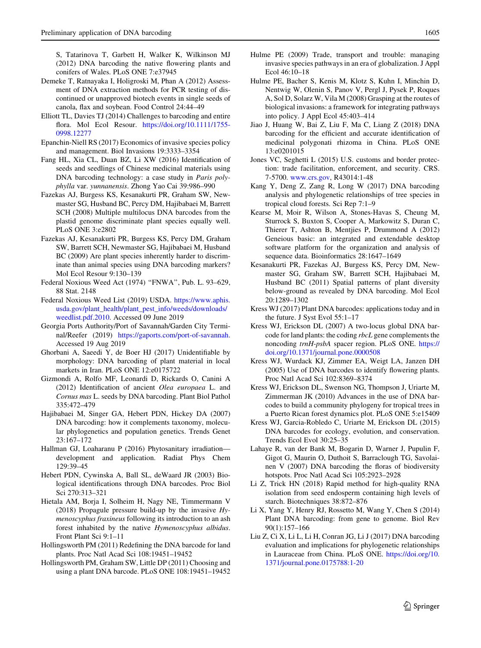<span id="page-20-0"></span>S, Tatarinova T, Garbett H, Walker K, Wilkinson MJ (2012) DNA barcoding the native flowering plants and conifers of Wales. PLoS ONE 7:e37945

- Demeke T, Ratnayaka I, Holigroski M, Phan A (2012) Assessment of DNA extraction methods for PCR testing of discontinued or unapproved biotech events in single seeds of canola, flax and soybean. Food Control 24:44–49
- Elliott TL, Davies TJ (2014) Challenges to barcoding and entire flora. Mol Ecol Resour. [https://doi.org/10.1111/1755-](https://doi.org/10.1111/1755-0998.12277) [0998.12277](https://doi.org/10.1111/1755-0998.12277)
- Epanchin-Niell RS (2017) Economics of invasive species policy and management. Biol Invasions 19:3333–3354
- Fang HL, Xia CL, Duan BZ, Li XW (2016) Identification of seeds and seedlings of Chinese medicinal materials using DNA barcoding technology: a case study in Paris polyphylla var. yunnanensis. Zhong Yao Cai 39:986–990
- Fazekas AJ, Burgess KS, Kesanakurti PR, Graham SW, Newmaster SG, Husband BC, Percy DM, Hajibabaei M, Barrett SCH (2008) Multiple multilocus DNA barcodes from the plastid genome discriminate plant species equally well. PLoS ONE 3:e2802
- Fazekas AJ, Kesanakurti PR, Burgess KS, Percy DM, Graham SW, Barrett SCH, Newmaster SG, Hajibabaei M, Husband BC (2009) Are plant species inherently harder to discriminate than animal species using DNA barcoding markers? Mol Ecol Resour 9:130–139
- Federal Noxious Weed Act (1974) ''FNWA'', Pub. L. 93–629, 88 Stat. 2148
- Federal Noxious Weed List (2019) USDA. [https://www.aphis.](https://www.aphis.usda.gov/plant_health/plant_pest_info/weeds/downloads/weedlist.pdf.2010) [usda.gov/plant\\_health/plant\\_pest\\_info/weeds/downloads/](https://www.aphis.usda.gov/plant_health/plant_pest_info/weeds/downloads/weedlist.pdf.2010) [weedlist.pdf.2010.](https://www.aphis.usda.gov/plant_health/plant_pest_info/weeds/downloads/weedlist.pdf.2010) Accessed 09 June 2019
- Georgia Ports Authority/Port of Savannah/Garden City Terminal/Reefer (2019) <https://gaports.com/port-of-savannah>. Accessed 19 Aug 2019
- Ghorbani A, Saeedi Y, de Boer HJ (2017) Unidentifiable by morphology: DNA barcoding of plant material in local markets in Iran. PLoS ONE 12:e0175722
- Gizmondi A, Rolfo MF, Leonardi D, Rickards O, Canini A (2012) Identification of ancient Olea europaea L. and Cornus mas L. seeds by DNA barcoding. Plant Biol Pathol 335:472–479
- Hajibabaei M, Singer GA, Hebert PDN, Hickey DA (2007) DNA barcoding: how it complements taxonomy, molecular phylogenetics and population genetics. Trends Genet 23:167–172
- Hallman GJ, Loaharanu P (2016) Phytosanitary irradiation development and application. Radiat Phys Chem 129:39–45
- Hebert PDN, Cywinska A, Ball SL, deWaard JR (2003) Biological identifications through DNA barcodes. Proc Biol Sci 270:313–321
- Hietala AM, Borja I, Solheim H, Nagy NE, Timmermann V (2018) Propagule pressure build-up by the invasive  $Hy$ menoscyphus fraxineus following its introduction to an ash forest inhabited by the native Hymenoscyphus albidus. Front Plant Sci 9:1–11
- Hollingsworth PM (2011) Redefining the DNA barcode for land plants. Proc Natl Acad Sci 108:19451–19452
- Hollingsworth PM, Graham SW, Little DP (2011) Choosing and using a plant DNA barcode. PLoS ONE 108:19451–19452
- Hulme PE (2009) Trade, transport and trouble: managing invasive species pathways in an era of globalization. J Appl Ecol 46:10–18
- Hulme PE, Bacher S, Kenis M, Klotz S, Kuhn I, Minchin D, Nentwig W, Olenin S, Panov V, Pergl J, Pysek P, Roques A, Sol D, Solarz W, Vila M (2008) Grasping at the routes of biological invasions: a framework for integrating pathways into policy. J Appl Ecol 45:403–414
- Jiao J, Huang W, Bai Z, Liu F, Ma C, Liang Z (2018) DNA barcoding for the efficient and accurate identification of medicinal polygonati rhizoma in China. PLoS ONE 13:e0201015
- Jones VC, Seghetti L (2015) U.S. customs and border protection: trade facilitation, enforcement, and security. CRS. 7-5700. [www.crs.gov](http://www.crs.gov), R43014:1-48
- Kang Y, Deng Z, Zang R, Long W (2017) DNA barcoding analysis and phylogenetic relationships of tree species in tropical cloud forests. Sci Rep 7:1–9
- Kearse M, Moir R, Wilson A, Stones-Havas S, Cheung M, Sturrock S, Buxton S, Cooper A, Markowitz S, Duran C, Thierer T, Ashton B, Mentjies P, Drummond A (2012) Geneious basic: an integrated and extendable desktop software platform for the organization and analysis of sequence data. Bioinformatics 28:1647–1649
- Kesanakurti PR, Fazekas AJ, Burgess KS, Percy DM, Newmaster SG, Graham SW, Barrett SCH, Hajibabaei M, Husband BC (2011) Spatial patterns of plant diversity below-ground as revealed by DNA barcoding. Mol Ecol 20:1289–1302
- Kress WJ (2017) Plant DNA barcodes: applications today and in the future. J Syst Evol 55:1–17
- Kress WJ, Erickson DL (2007) A two-locus global DNA barcode for land plants: the coding rbcL gene complements the noncoding trnH-psbA spacer region. PLoS ONE. [https://](https://doi.org/10.1371/journal.pone.0000508) [doi.org/10.1371/journal.pone.0000508](https://doi.org/10.1371/journal.pone.0000508)
- Kress WJ, Wurdack KJ, Zimmer EA, Weigt LA, Janzen DH (2005) Use of DNA barcodes to identify flowering plants. Proc Natl Acad Sci 102:8369–8374
- Kress WJ, Erickson DL, Swenson NG, Thompson J, Uriarte M, Zimmerman JK (2010) Advances in the use of DNA barcodes to build a community phylogeny for tropical trees in a Puerto Rican forest dynamics plot. PLoS ONE 5:e15409
- Kress WJ, Garcia-Robledo C, Uriarte M, Erickson DL (2015) DNA barcodes for ecology, evolution, and conservation. Trends Ecol Evol 30:25–35
- Lahaye R, van der Bank M, Bogarin D, Warner J, Pupulin F, Gigot G, Maurin O, Duthoit S, Barraclough TG, Savolainen V (2007) DNA barcoding the floras of biodiversity hotspots. Proc Natl Acad Sci 105:2923–2928
- Li Z, Trick HN (2018) Rapid method for high-quality RNA isolation from seed endosperm containing high levels of starch. Biotechniques 38:872–876
- Li X, Yang Y, Henry RJ, Rossetto M, Wang Y, Chen S (2014) Plant DNA barcoding: from gene to genome. Biol Rev 90(1):157–166
- Liu Z, Ci X, Li L, Li H, Conran JG, Li J (2017) DNA barcoding evaluation and implications for phylogenetic relationships in Lauraceae from China. PLoS ONE. [https://doi.org/10.](https://doi.org/10.1371/journal.pone.0175788:1-20) [1371/journal.pone.0175788:1-20](https://doi.org/10.1371/journal.pone.0175788:1-20)